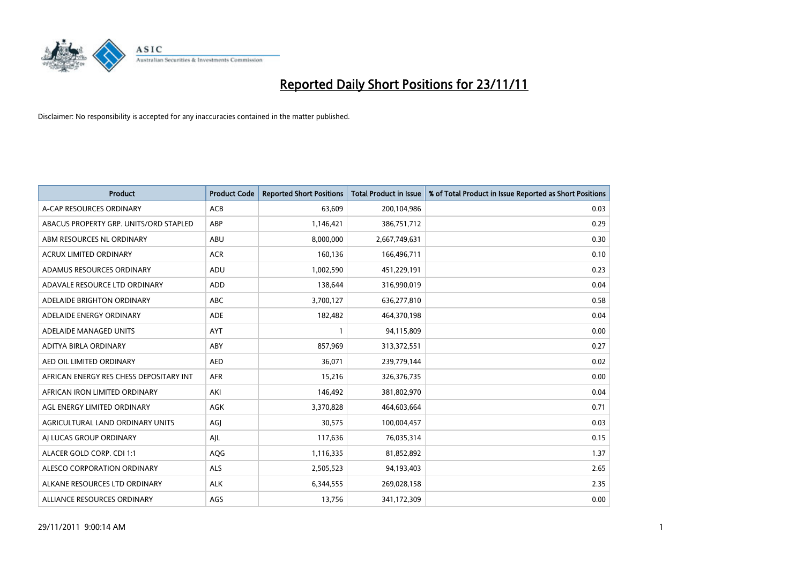

| <b>Product</b>                          | <b>Product Code</b> | <b>Reported Short Positions</b> | <b>Total Product in Issue</b> | % of Total Product in Issue Reported as Short Positions |
|-----------------------------------------|---------------------|---------------------------------|-------------------------------|---------------------------------------------------------|
| A-CAP RESOURCES ORDINARY                | <b>ACB</b>          | 63,609                          | 200,104,986                   | 0.03                                                    |
| ABACUS PROPERTY GRP. UNITS/ORD STAPLED  | ABP                 | 1,146,421                       | 386,751,712                   | 0.29                                                    |
| ABM RESOURCES NL ORDINARY               | ABU                 | 8,000,000                       | 2,667,749,631                 | 0.30                                                    |
| ACRUX LIMITED ORDINARY                  | <b>ACR</b>          | 160,136                         | 166,496,711                   | 0.10                                                    |
| ADAMUS RESOURCES ORDINARY               | ADU                 | 1,002,590                       | 451,229,191                   | 0.23                                                    |
| ADAVALE RESOURCE LTD ORDINARY           | ADD                 | 138,644                         | 316,990,019                   | 0.04                                                    |
| ADELAIDE BRIGHTON ORDINARY              | <b>ABC</b>          | 3,700,127                       | 636,277,810                   | 0.58                                                    |
| ADELAIDE ENERGY ORDINARY                | <b>ADE</b>          | 182,482                         | 464,370,198                   | 0.04                                                    |
| ADELAIDE MANAGED UNITS                  | AYT                 |                                 | 94,115,809                    | 0.00                                                    |
| ADITYA BIRLA ORDINARY                   | ABY                 | 857,969                         | 313,372,551                   | 0.27                                                    |
| AED OIL LIMITED ORDINARY                | <b>AED</b>          | 36,071                          | 239,779,144                   | 0.02                                                    |
| AFRICAN ENERGY RES CHESS DEPOSITARY INT | <b>AFR</b>          | 15,216                          | 326, 376, 735                 | 0.00                                                    |
| AFRICAN IRON LIMITED ORDINARY           | AKI                 | 146,492                         | 381,802,970                   | 0.04                                                    |
| AGL ENERGY LIMITED ORDINARY             | <b>AGK</b>          | 3,370,828                       | 464,603,664                   | 0.71                                                    |
| AGRICULTURAL LAND ORDINARY UNITS        | AGJ                 | 30,575                          | 100,004,457                   | 0.03                                                    |
| AI LUCAS GROUP ORDINARY                 | AJL                 | 117,636                         | 76,035,314                    | 0.15                                                    |
| ALACER GOLD CORP. CDI 1:1               | AQG                 | 1,116,335                       | 81,852,892                    | 1.37                                                    |
| ALESCO CORPORATION ORDINARY             | <b>ALS</b>          | 2,505,523                       | 94,193,403                    | 2.65                                                    |
| ALKANE RESOURCES LTD ORDINARY           | <b>ALK</b>          | 6,344,555                       | 269,028,158                   | 2.35                                                    |
| ALLIANCE RESOURCES ORDINARY             | AGS                 | 13,756                          | 341,172,309                   | 0.00                                                    |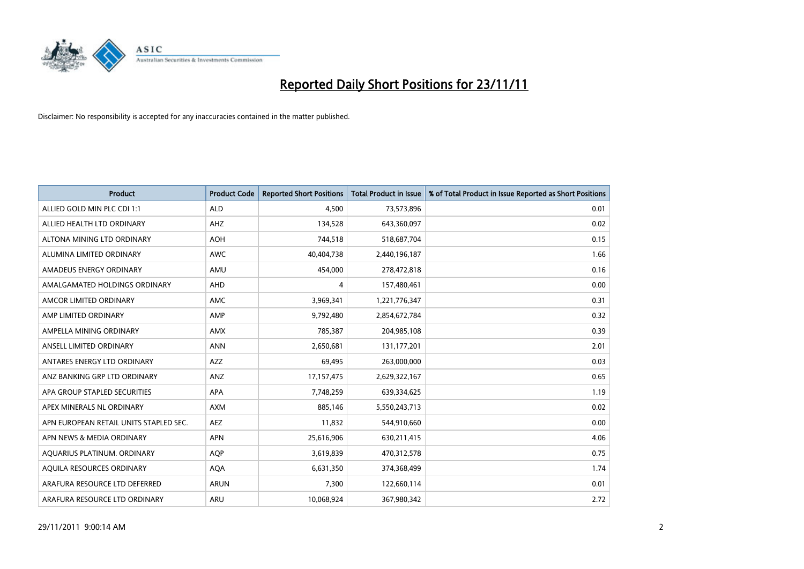

| <b>Product</b>                         | <b>Product Code</b> | <b>Reported Short Positions</b> | <b>Total Product in Issue</b> | % of Total Product in Issue Reported as Short Positions |
|----------------------------------------|---------------------|---------------------------------|-------------------------------|---------------------------------------------------------|
| ALLIED GOLD MIN PLC CDI 1:1            | <b>ALD</b>          | 4,500                           | 73,573,896                    | 0.01                                                    |
| ALLIED HEALTH LTD ORDINARY             | <b>AHZ</b>          | 134,528                         | 643,360,097                   | 0.02                                                    |
| ALTONA MINING LTD ORDINARY             | <b>AOH</b>          | 744,518                         | 518,687,704                   | 0.15                                                    |
| ALUMINA LIMITED ORDINARY               | <b>AWC</b>          | 40,404,738                      | 2,440,196,187                 | 1.66                                                    |
| AMADEUS ENERGY ORDINARY                | AMU                 | 454,000                         | 278,472,818                   | 0.16                                                    |
| AMALGAMATED HOLDINGS ORDINARY          | AHD                 | 4                               | 157,480,461                   | 0.00                                                    |
| AMCOR LIMITED ORDINARY                 | <b>AMC</b>          | 3,969,341                       | 1,221,776,347                 | 0.31                                                    |
| AMP LIMITED ORDINARY                   | AMP                 | 9,792,480                       | 2,854,672,784                 | 0.32                                                    |
| AMPELLA MINING ORDINARY                | <b>AMX</b>          | 785,387                         | 204,985,108                   | 0.39                                                    |
| ANSELL LIMITED ORDINARY                | <b>ANN</b>          | 2,650,681                       | 131, 177, 201                 | 2.01                                                    |
| ANTARES ENERGY LTD ORDINARY            | <b>AZZ</b>          | 69,495                          | 263,000,000                   | 0.03                                                    |
| ANZ BANKING GRP LTD ORDINARY           | ANZ                 | 17,157,475                      | 2,629,322,167                 | 0.65                                                    |
| APA GROUP STAPLED SECURITIES           | <b>APA</b>          | 7,748,259                       | 639,334,625                   | 1.19                                                    |
| APEX MINERALS NL ORDINARY              | <b>AXM</b>          | 885,146                         | 5,550,243,713                 | 0.02                                                    |
| APN EUROPEAN RETAIL UNITS STAPLED SEC. | <b>AEZ</b>          | 11,832                          | 544,910,660                   | 0.00                                                    |
| APN NEWS & MEDIA ORDINARY              | <b>APN</b>          | 25,616,906                      | 630,211,415                   | 4.06                                                    |
| AQUARIUS PLATINUM. ORDINARY            | <b>AOP</b>          | 3,619,839                       | 470,312,578                   | 0.75                                                    |
| AQUILA RESOURCES ORDINARY              | <b>AQA</b>          | 6,631,350                       | 374,368,499                   | 1.74                                                    |
| ARAFURA RESOURCE LTD DEFERRED          | <b>ARUN</b>         | 7,300                           | 122,660,114                   | 0.01                                                    |
| ARAFURA RESOURCE LTD ORDINARY          | ARU                 | 10,068,924                      | 367,980,342                   | 2.72                                                    |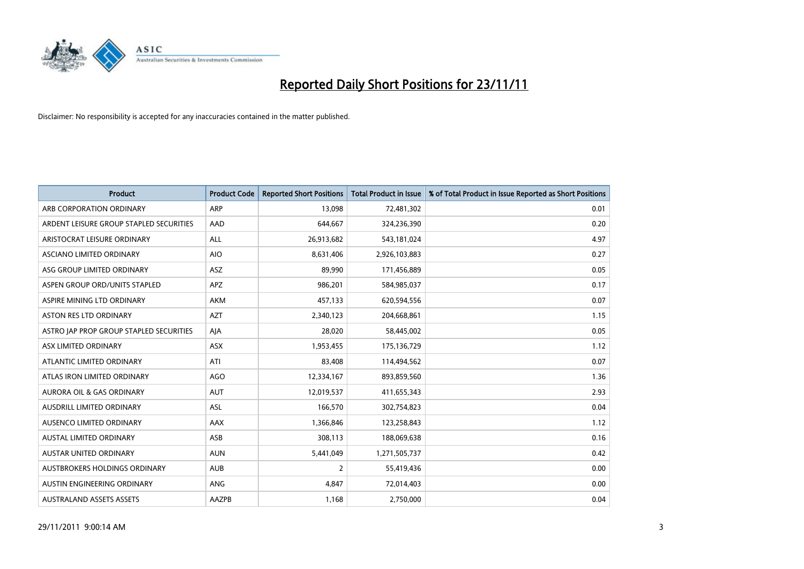

| <b>Product</b>                          | <b>Product Code</b> | <b>Reported Short Positions</b> | <b>Total Product in Issue</b> | % of Total Product in Issue Reported as Short Positions |
|-----------------------------------------|---------------------|---------------------------------|-------------------------------|---------------------------------------------------------|
| ARB CORPORATION ORDINARY                | ARP                 | 13,098                          | 72,481,302                    | 0.01                                                    |
| ARDENT LEISURE GROUP STAPLED SECURITIES | AAD                 | 644,667                         | 324,236,390                   | 0.20                                                    |
| ARISTOCRAT LEISURE ORDINARY             | <b>ALL</b>          | 26,913,682                      | 543,181,024                   | 4.97                                                    |
| ASCIANO LIMITED ORDINARY                | <b>AIO</b>          | 8,631,406                       | 2,926,103,883                 | 0.27                                                    |
| ASG GROUP LIMITED ORDINARY              | <b>ASZ</b>          | 89,990                          | 171,456,889                   | 0.05                                                    |
| ASPEN GROUP ORD/UNITS STAPLED           | <b>APZ</b>          | 986,201                         | 584,985,037                   | 0.17                                                    |
| ASPIRE MINING LTD ORDINARY              | AKM                 | 457,133                         | 620,594,556                   | 0.07                                                    |
| <b>ASTON RES LTD ORDINARY</b>           | <b>AZT</b>          | 2,340,123                       | 204,668,861                   | 1.15                                                    |
| ASTRO JAP PROP GROUP STAPLED SECURITIES | AIA                 | 28,020                          | 58,445,002                    | 0.05                                                    |
| ASX LIMITED ORDINARY                    | <b>ASX</b>          | 1,953,455                       | 175,136,729                   | 1.12                                                    |
| ATLANTIC LIMITED ORDINARY               | ATI                 | 83,408                          | 114,494,562                   | 0.07                                                    |
| ATLAS IRON LIMITED ORDINARY             | <b>AGO</b>          | 12,334,167                      | 893,859,560                   | 1.36                                                    |
| <b>AURORA OIL &amp; GAS ORDINARY</b>    | <b>AUT</b>          | 12,019,537                      | 411,655,343                   | 2.93                                                    |
| <b>AUSDRILL LIMITED ORDINARY</b>        | ASL                 | 166,570                         | 302,754,823                   | 0.04                                                    |
| <b>AUSENCO LIMITED ORDINARY</b>         | <b>AAX</b>          | 1,366,846                       | 123,258,843                   | 1.12                                                    |
| AUSTAL LIMITED ORDINARY                 | ASB                 | 308,113                         | 188,069,638                   | 0.16                                                    |
| AUSTAR UNITED ORDINARY                  | <b>AUN</b>          | 5,441,049                       | 1,271,505,737                 | 0.42                                                    |
| AUSTBROKERS HOLDINGS ORDINARY           | <b>AUB</b>          | 2                               | 55,419,436                    | 0.00                                                    |
| AUSTIN ENGINEERING ORDINARY             | <b>ANG</b>          | 4,847                           | 72,014,403                    | 0.00                                                    |
| <b>AUSTRALAND ASSETS ASSETS</b>         | AAZPB               | 1,168                           | 2,750,000                     | 0.04                                                    |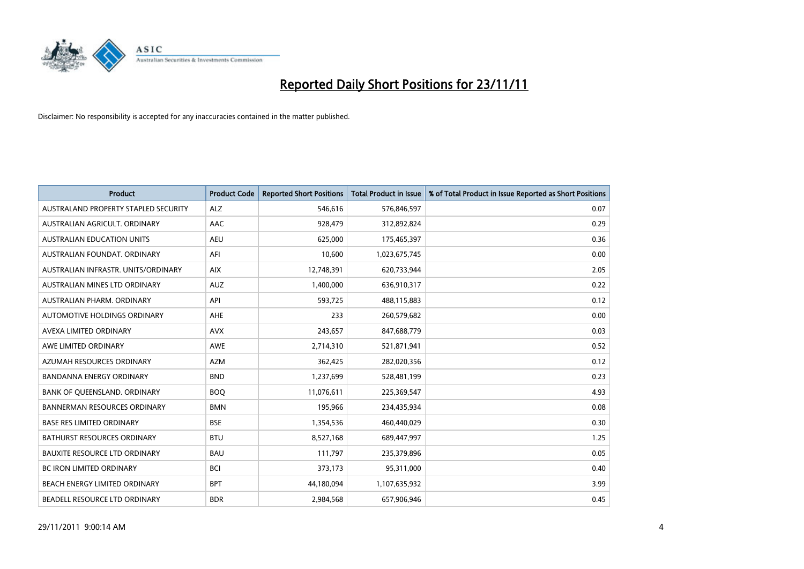

| <b>Product</b>                       | <b>Product Code</b> | <b>Reported Short Positions</b> | Total Product in Issue | % of Total Product in Issue Reported as Short Positions |
|--------------------------------------|---------------------|---------------------------------|------------------------|---------------------------------------------------------|
| AUSTRALAND PROPERTY STAPLED SECURITY | <b>ALZ</b>          | 546.616                         | 576,846,597            | 0.07                                                    |
| AUSTRALIAN AGRICULT. ORDINARY        | AAC                 | 928,479                         | 312,892,824            | 0.29                                                    |
| <b>AUSTRALIAN EDUCATION UNITS</b>    | <b>AEU</b>          | 625,000                         | 175,465,397            | 0.36                                                    |
| AUSTRALIAN FOUNDAT. ORDINARY         | AFI                 | 10,600                          | 1,023,675,745          | 0.00                                                    |
| AUSTRALIAN INFRASTR, UNITS/ORDINARY  | <b>AIX</b>          | 12,748,391                      | 620,733,944            | 2.05                                                    |
| AUSTRALIAN MINES LTD ORDINARY        | <b>AUZ</b>          | 1,400,000                       | 636,910,317            | 0.22                                                    |
| AUSTRALIAN PHARM, ORDINARY           | API                 | 593.725                         | 488,115,883            | 0.12                                                    |
| AUTOMOTIVE HOLDINGS ORDINARY         | <b>AHE</b>          | 233                             | 260,579,682            | 0.00                                                    |
| AVEXA LIMITED ORDINARY               | <b>AVX</b>          | 243,657                         | 847,688,779            | 0.03                                                    |
| AWE LIMITED ORDINARY                 | AWE                 | 2,714,310                       | 521,871,941            | 0.52                                                    |
| AZUMAH RESOURCES ORDINARY            | <b>AZM</b>          | 362,425                         | 282,020,356            | 0.12                                                    |
| <b>BANDANNA ENERGY ORDINARY</b>      | <b>BND</b>          | 1,237,699                       | 528,481,199            | 0.23                                                    |
| BANK OF QUEENSLAND. ORDINARY         | <b>BOO</b>          | 11,076,611                      | 225,369,547            | 4.93                                                    |
| <b>BANNERMAN RESOURCES ORDINARY</b>  | <b>BMN</b>          | 195,966                         | 234,435,934            | 0.08                                                    |
| <b>BASE RES LIMITED ORDINARY</b>     | <b>BSE</b>          | 1,354,536                       | 460,440,029            | 0.30                                                    |
| <b>BATHURST RESOURCES ORDINARY</b>   | <b>BTU</b>          | 8,527,168                       | 689,447,997            | 1.25                                                    |
| <b>BAUXITE RESOURCE LTD ORDINARY</b> | <b>BAU</b>          | 111,797                         | 235,379,896            | 0.05                                                    |
| <b>BC IRON LIMITED ORDINARY</b>      | <b>BCI</b>          | 373,173                         | 95,311,000             | 0.40                                                    |
| BEACH ENERGY LIMITED ORDINARY        | <b>BPT</b>          | 44,180,094                      | 1,107,635,932          | 3.99                                                    |
| BEADELL RESOURCE LTD ORDINARY        | <b>BDR</b>          | 2,984,568                       | 657,906,946            | 0.45                                                    |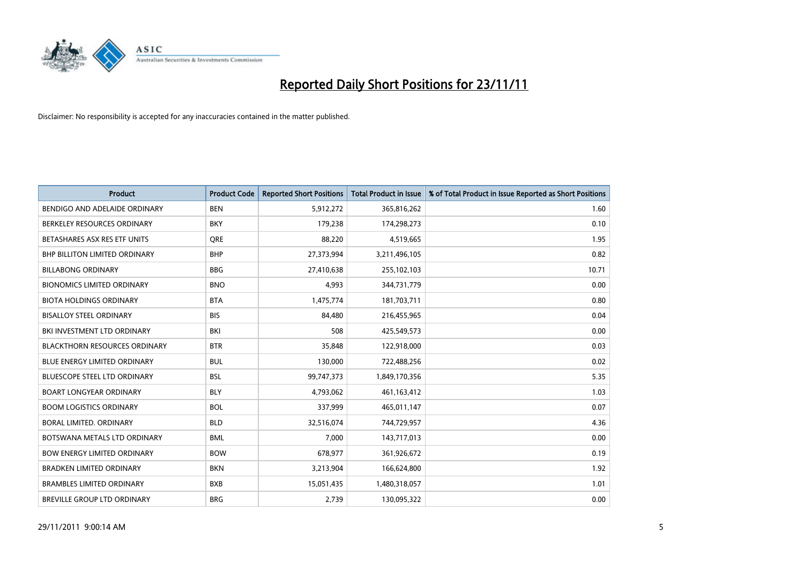

| <b>Product</b>                       | <b>Product Code</b> | <b>Reported Short Positions</b> | <b>Total Product in Issue</b> | % of Total Product in Issue Reported as Short Positions |
|--------------------------------------|---------------------|---------------------------------|-------------------------------|---------------------------------------------------------|
| BENDIGO AND ADELAIDE ORDINARY        | <b>BEN</b>          | 5,912,272                       | 365,816,262                   | 1.60                                                    |
| BERKELEY RESOURCES ORDINARY          | <b>BKY</b>          | 179,238                         | 174,298,273                   | 0.10                                                    |
| BETASHARES ASX RES ETF UNITS         | <b>ORE</b>          | 88,220                          | 4,519,665                     | 1.95                                                    |
| BHP BILLITON LIMITED ORDINARY        | <b>BHP</b>          | 27,373,994                      | 3,211,496,105                 | 0.82                                                    |
| <b>BILLABONG ORDINARY</b>            | <b>BBG</b>          | 27,410,638                      | 255,102,103                   | 10.71                                                   |
| <b>BIONOMICS LIMITED ORDINARY</b>    | <b>BNO</b>          | 4,993                           | 344,731,779                   | 0.00                                                    |
| <b>BIOTA HOLDINGS ORDINARY</b>       | <b>BTA</b>          | 1,475,774                       | 181,703,711                   | 0.80                                                    |
| <b>BISALLOY STEEL ORDINARY</b>       | <b>BIS</b>          | 84,480                          | 216,455,965                   | 0.04                                                    |
| BKI INVESTMENT LTD ORDINARY          | BKI                 | 508                             | 425,549,573                   | 0.00                                                    |
| <b>BLACKTHORN RESOURCES ORDINARY</b> | <b>BTR</b>          | 35,848                          | 122,918,000                   | 0.03                                                    |
| BLUE ENERGY LIMITED ORDINARY         | <b>BUL</b>          | 130,000                         | 722,488,256                   | 0.02                                                    |
| <b>BLUESCOPE STEEL LTD ORDINARY</b>  | <b>BSL</b>          | 99,747,373                      | 1,849,170,356                 | 5.35                                                    |
| <b>BOART LONGYEAR ORDINARY</b>       | <b>BLY</b>          | 4,793,062                       | 461,163,412                   | 1.03                                                    |
| <b>BOOM LOGISTICS ORDINARY</b>       | <b>BOL</b>          | 337,999                         | 465,011,147                   | 0.07                                                    |
| BORAL LIMITED, ORDINARY              | <b>BLD</b>          | 32,516,074                      | 744,729,957                   | 4.36                                                    |
| BOTSWANA METALS LTD ORDINARY         | <b>BML</b>          | 7,000                           | 143,717,013                   | 0.00                                                    |
| <b>BOW ENERGY LIMITED ORDINARY</b>   | <b>BOW</b>          | 678,977                         | 361,926,672                   | 0.19                                                    |
| <b>BRADKEN LIMITED ORDINARY</b>      | <b>BKN</b>          | 3,213,904                       | 166,624,800                   | 1.92                                                    |
| <b>BRAMBLES LIMITED ORDINARY</b>     | <b>BXB</b>          | 15,051,435                      | 1,480,318,057                 | 1.01                                                    |
| BREVILLE GROUP LTD ORDINARY          | <b>BRG</b>          | 2,739                           | 130,095,322                   | 0.00                                                    |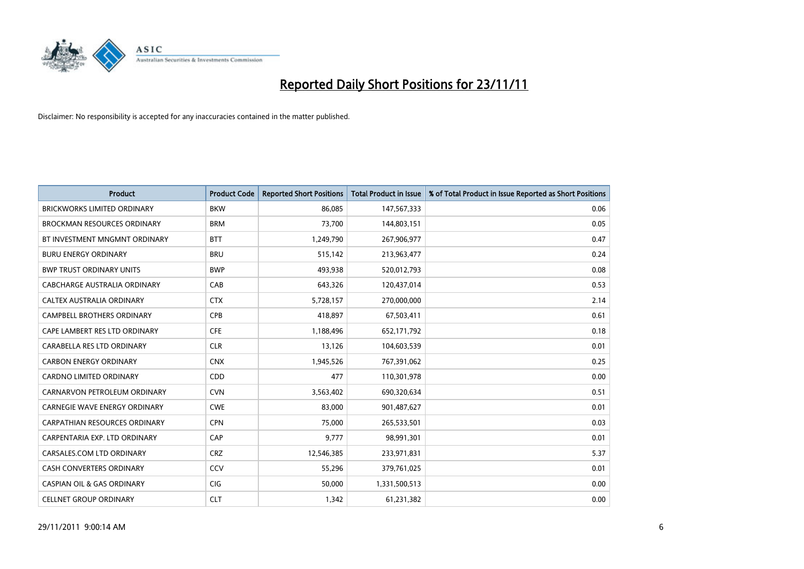

| <b>Product</b>                        | <b>Product Code</b> | <b>Reported Short Positions</b> | <b>Total Product in Issue</b> | % of Total Product in Issue Reported as Short Positions |
|---------------------------------------|---------------------|---------------------------------|-------------------------------|---------------------------------------------------------|
| <b>BRICKWORKS LIMITED ORDINARY</b>    | <b>BKW</b>          | 86,085                          | 147,567,333                   | 0.06                                                    |
| <b>BROCKMAN RESOURCES ORDINARY</b>    | <b>BRM</b>          | 73,700                          | 144,803,151                   | 0.05                                                    |
| BT INVESTMENT MNGMNT ORDINARY         | <b>BTT</b>          | 1,249,790                       | 267,906,977                   | 0.47                                                    |
| <b>BURU ENERGY ORDINARY</b>           | <b>BRU</b>          | 515,142                         | 213,963,477                   | 0.24                                                    |
| <b>BWP TRUST ORDINARY UNITS</b>       | <b>BWP</b>          | 493,938                         | 520,012,793                   | 0.08                                                    |
| CABCHARGE AUSTRALIA ORDINARY          | CAB                 | 643,326                         | 120,437,014                   | 0.53                                                    |
| CALTEX AUSTRALIA ORDINARY             | <b>CTX</b>          | 5,728,157                       | 270,000,000                   | 2.14                                                    |
| CAMPBELL BROTHERS ORDINARY            | <b>CPB</b>          | 418,897                         | 67,503,411                    | 0.61                                                    |
| CAPE LAMBERT RES LTD ORDINARY         | <b>CFE</b>          | 1,188,496                       | 652,171,792                   | 0.18                                                    |
| CARABELLA RES LTD ORDINARY            | <b>CLR</b>          | 13,126                          | 104,603,539                   | 0.01                                                    |
| <b>CARBON ENERGY ORDINARY</b>         | <b>CNX</b>          | 1,945,526                       | 767,391,062                   | 0.25                                                    |
| <b>CARDNO LIMITED ORDINARY</b>        | <b>CDD</b>          | 477                             | 110,301,978                   | 0.00                                                    |
| CARNARVON PETROLEUM ORDINARY          | <b>CVN</b>          | 3,563,402                       | 690,320,634                   | 0.51                                                    |
| <b>CARNEGIE WAVE ENERGY ORDINARY</b>  | <b>CWE</b>          | 83,000                          | 901,487,627                   | 0.01                                                    |
| <b>CARPATHIAN RESOURCES ORDINARY</b>  | <b>CPN</b>          | 75,000                          | 265,533,501                   | 0.03                                                    |
| CARPENTARIA EXP. LTD ORDINARY         | CAP                 | 9,777                           | 98,991,301                    | 0.01                                                    |
| CARSALES.COM LTD ORDINARY             | <b>CRZ</b>          | 12,546,385                      | 233,971,831                   | 5.37                                                    |
| CASH CONVERTERS ORDINARY              | CCV                 | 55,296                          | 379,761,025                   | 0.01                                                    |
| <b>CASPIAN OIL &amp; GAS ORDINARY</b> | <b>CIG</b>          | 50,000                          | 1,331,500,513                 | 0.00                                                    |
| <b>CELLNET GROUP ORDINARY</b>         | <b>CLT</b>          | 1,342                           | 61,231,382                    | 0.00                                                    |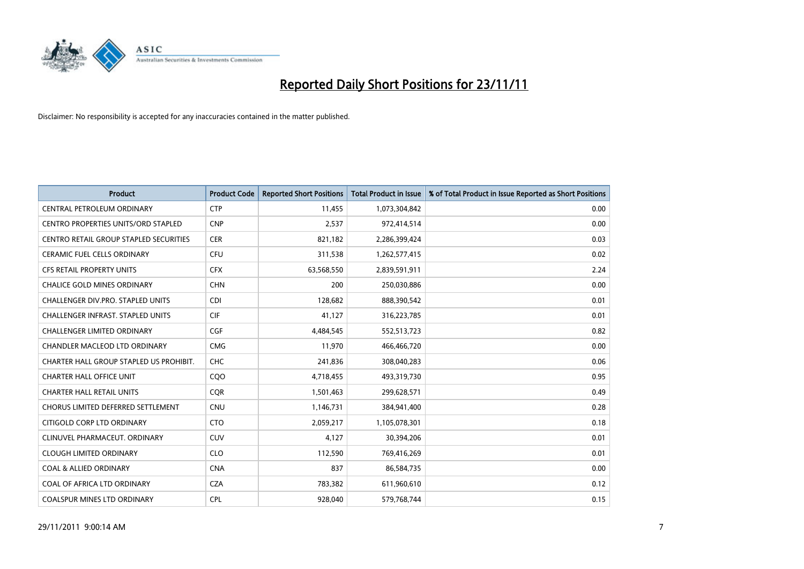

| <b>Product</b>                                | <b>Product Code</b> | <b>Reported Short Positions</b> | <b>Total Product in Issue</b> | % of Total Product in Issue Reported as Short Positions |
|-----------------------------------------------|---------------------|---------------------------------|-------------------------------|---------------------------------------------------------|
| CENTRAL PETROLEUM ORDINARY                    | <b>CTP</b>          | 11,455                          | 1,073,304,842                 | 0.00                                                    |
| CENTRO PROPERTIES UNITS/ORD STAPLED           | <b>CNP</b>          | 2,537                           | 972,414,514                   | 0.00                                                    |
| <b>CENTRO RETAIL GROUP STAPLED SECURITIES</b> | <b>CER</b>          | 821,182                         | 2,286,399,424                 | 0.03                                                    |
| CERAMIC FUEL CELLS ORDINARY                   | <b>CFU</b>          | 311,538                         | 1,262,577,415                 | 0.02                                                    |
| <b>CFS RETAIL PROPERTY UNITS</b>              | <b>CFX</b>          | 63,568,550                      | 2,839,591,911                 | 2.24                                                    |
| <b>CHALICE GOLD MINES ORDINARY</b>            | <b>CHN</b>          | 200                             | 250,030,886                   | 0.00                                                    |
| <b>CHALLENGER DIV.PRO. STAPLED UNITS</b>      | <b>CDI</b>          | 128,682                         | 888,390,542                   | 0.01                                                    |
| <b>CHALLENGER INFRAST, STAPLED UNITS</b>      | <b>CIF</b>          | 41,127                          | 316,223,785                   | 0.01                                                    |
| CHALLENGER LIMITED ORDINARY                   | <b>CGF</b>          | 4,484,545                       | 552,513,723                   | 0.82                                                    |
| <b>CHANDLER MACLEOD LTD ORDINARY</b>          | <b>CMG</b>          | 11,970                          | 466,466,720                   | 0.00                                                    |
| CHARTER HALL GROUP STAPLED US PROHIBIT.       | <b>CHC</b>          | 241,836                         | 308,040,283                   | 0.06                                                    |
| <b>CHARTER HALL OFFICE UNIT</b>               | CQO                 | 4,718,455                       | 493,319,730                   | 0.95                                                    |
| <b>CHARTER HALL RETAIL UNITS</b>              | <b>COR</b>          | 1,501,463                       | 299,628,571                   | 0.49                                                    |
| CHORUS LIMITED DEFERRED SETTLEMENT            | <b>CNU</b>          | 1,146,731                       | 384,941,400                   | 0.28                                                    |
| CITIGOLD CORP LTD ORDINARY                    | <b>CTO</b>          | 2,059,217                       | 1,105,078,301                 | 0.18                                                    |
| CLINUVEL PHARMACEUT. ORDINARY                 | <b>CUV</b>          | 4,127                           | 30,394,206                    | 0.01                                                    |
| <b>CLOUGH LIMITED ORDINARY</b>                | <b>CLO</b>          | 112,590                         | 769,416,269                   | 0.01                                                    |
| <b>COAL &amp; ALLIED ORDINARY</b>             | <b>CNA</b>          | 837                             | 86,584,735                    | 0.00                                                    |
| COAL OF AFRICA LTD ORDINARY                   | <b>CZA</b>          | 783,382                         | 611,960,610                   | 0.12                                                    |
| <b>COALSPUR MINES LTD ORDINARY</b>            | <b>CPL</b>          | 928.040                         | 579,768,744                   | 0.15                                                    |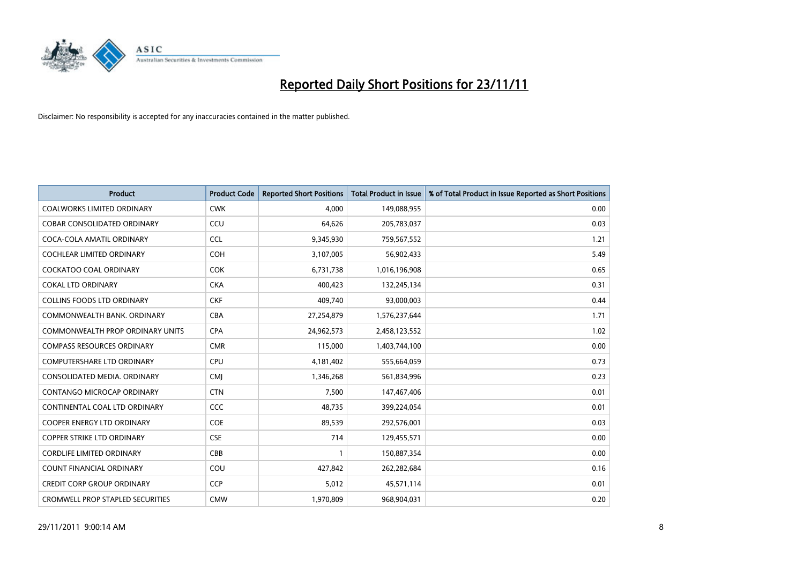

| <b>Product</b>                          | <b>Product Code</b> | <b>Reported Short Positions</b> | <b>Total Product in Issue</b> | % of Total Product in Issue Reported as Short Positions |
|-----------------------------------------|---------------------|---------------------------------|-------------------------------|---------------------------------------------------------|
| <b>COALWORKS LIMITED ORDINARY</b>       | <b>CWK</b>          | 4,000                           | 149,088,955                   | 0.00                                                    |
| COBAR CONSOLIDATED ORDINARY             | CCU                 | 64,626                          | 205,783,037                   | 0.03                                                    |
| COCA-COLA AMATIL ORDINARY               | <b>CCL</b>          | 9,345,930                       | 759,567,552                   | 1.21                                                    |
| COCHLEAR LIMITED ORDINARY               | <b>COH</b>          | 3,107,005                       | 56,902,433                    | 5.49                                                    |
| COCKATOO COAL ORDINARY                  | <b>COK</b>          | 6,731,738                       | 1,016,196,908                 | 0.65                                                    |
| <b>COKAL LTD ORDINARY</b>               | <b>CKA</b>          | 400,423                         | 132,245,134                   | 0.31                                                    |
| <b>COLLINS FOODS LTD ORDINARY</b>       | <b>CKF</b>          | 409.740                         | 93,000,003                    | 0.44                                                    |
| COMMONWEALTH BANK, ORDINARY             | <b>CBA</b>          | 27,254,879                      | 1,576,237,644                 | 1.71                                                    |
| COMMONWEALTH PROP ORDINARY UNITS        | <b>CPA</b>          | 24,962,573                      | 2,458,123,552                 | 1.02                                                    |
| <b>COMPASS RESOURCES ORDINARY</b>       | <b>CMR</b>          | 115,000                         | 1,403,744,100                 | 0.00                                                    |
| COMPUTERSHARE LTD ORDINARY              | <b>CPU</b>          | 4,181,402                       | 555,664,059                   | 0.73                                                    |
| CONSOLIDATED MEDIA, ORDINARY            | <b>CMI</b>          | 1,346,268                       | 561,834,996                   | 0.23                                                    |
| CONTANGO MICROCAP ORDINARY              | <b>CTN</b>          | 7,500                           | 147,467,406                   | 0.01                                                    |
| CONTINENTAL COAL LTD ORDINARY           | CCC                 | 48,735                          | 399,224,054                   | 0.01                                                    |
| <b>COOPER ENERGY LTD ORDINARY</b>       | <b>COE</b>          | 89,539                          | 292,576,001                   | 0.03                                                    |
| <b>COPPER STRIKE LTD ORDINARY</b>       | <b>CSE</b>          | 714                             | 129,455,571                   | 0.00                                                    |
| <b>CORDLIFE LIMITED ORDINARY</b>        | CBB                 |                                 | 150,887,354                   | 0.00                                                    |
| COUNT FINANCIAL ORDINARY                | COU                 | 427,842                         | 262,282,684                   | 0.16                                                    |
| <b>CREDIT CORP GROUP ORDINARY</b>       | <b>CCP</b>          | 5,012                           | 45,571,114                    | 0.01                                                    |
| <b>CROMWELL PROP STAPLED SECURITIES</b> | <b>CMW</b>          | 1,970,809                       | 968,904,031                   | 0.20                                                    |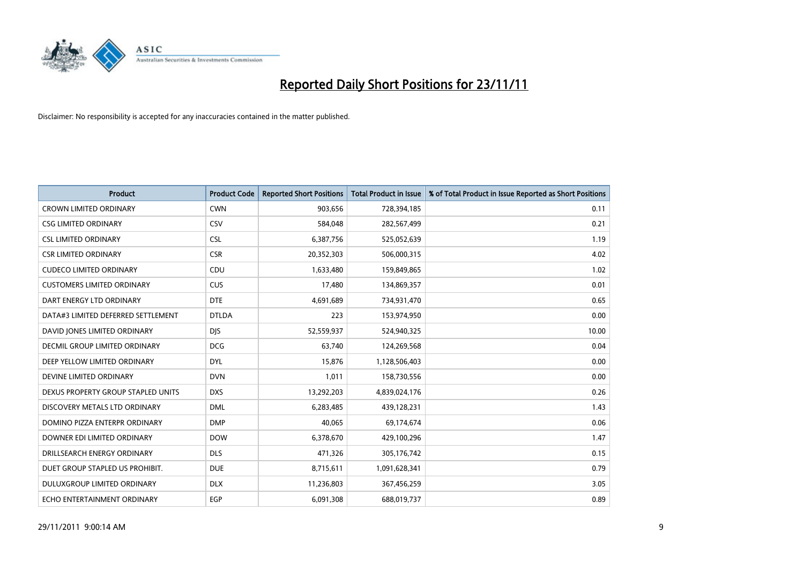

| <b>Product</b>                     | <b>Product Code</b> | <b>Reported Short Positions</b> | <b>Total Product in Issue</b> | % of Total Product in Issue Reported as Short Positions |
|------------------------------------|---------------------|---------------------------------|-------------------------------|---------------------------------------------------------|
| <b>CROWN LIMITED ORDINARY</b>      | <b>CWN</b>          | 903,656                         | 728,394,185                   | 0.11                                                    |
| <b>CSG LIMITED ORDINARY</b>        | CSV                 | 584,048                         | 282,567,499                   | 0.21                                                    |
| <b>CSL LIMITED ORDINARY</b>        | <b>CSL</b>          | 6,387,756                       | 525,052,639                   | 1.19                                                    |
| <b>CSR LIMITED ORDINARY</b>        | <b>CSR</b>          | 20,352,303                      | 506,000,315                   | 4.02                                                    |
| <b>CUDECO LIMITED ORDINARY</b>     | CDU                 | 1,633,480                       | 159,849,865                   | 1.02                                                    |
| <b>CUSTOMERS LIMITED ORDINARY</b>  | <b>CUS</b>          | 17,480                          | 134,869,357                   | 0.01                                                    |
| DART ENERGY LTD ORDINARY           | <b>DTE</b>          | 4.691.689                       | 734,931,470                   | 0.65                                                    |
| DATA#3 LIMITED DEFERRED SETTLEMENT | <b>DTLDA</b>        | 223                             | 153,974,950                   | 0.00                                                    |
| DAVID JONES LIMITED ORDINARY       | <b>DIS</b>          | 52,559,937                      | 524,940,325                   | 10.00                                                   |
| DECMIL GROUP LIMITED ORDINARY      | <b>DCG</b>          | 63,740                          | 124,269,568                   | 0.04                                                    |
| DEEP YELLOW LIMITED ORDINARY       | <b>DYL</b>          | 15,876                          | 1,128,506,403                 | 0.00                                                    |
| DEVINE LIMITED ORDINARY            | <b>DVN</b>          | 1,011                           | 158,730,556                   | 0.00                                                    |
| DEXUS PROPERTY GROUP STAPLED UNITS | <b>DXS</b>          | 13,292,203                      | 4,839,024,176                 | 0.26                                                    |
| DISCOVERY METALS LTD ORDINARY      | <b>DML</b>          | 6,283,485                       | 439,128,231                   | 1.43                                                    |
| DOMINO PIZZA ENTERPR ORDINARY      | <b>DMP</b>          | 40,065                          | 69,174,674                    | 0.06                                                    |
| DOWNER EDI LIMITED ORDINARY        | <b>DOW</b>          | 6,378,670                       | 429,100,296                   | 1.47                                                    |
| DRILLSEARCH ENERGY ORDINARY        | <b>DLS</b>          | 471,326                         | 305,176,742                   | 0.15                                                    |
| DUET GROUP STAPLED US PROHIBIT.    | <b>DUE</b>          | 8,715,611                       | 1,091,628,341                 | 0.79                                                    |
| <b>DULUXGROUP LIMITED ORDINARY</b> | <b>DLX</b>          | 11,236,803                      | 367,456,259                   | 3.05                                                    |
| ECHO ENTERTAINMENT ORDINARY        | EGP                 | 6,091,308                       | 688,019,737                   | 0.89                                                    |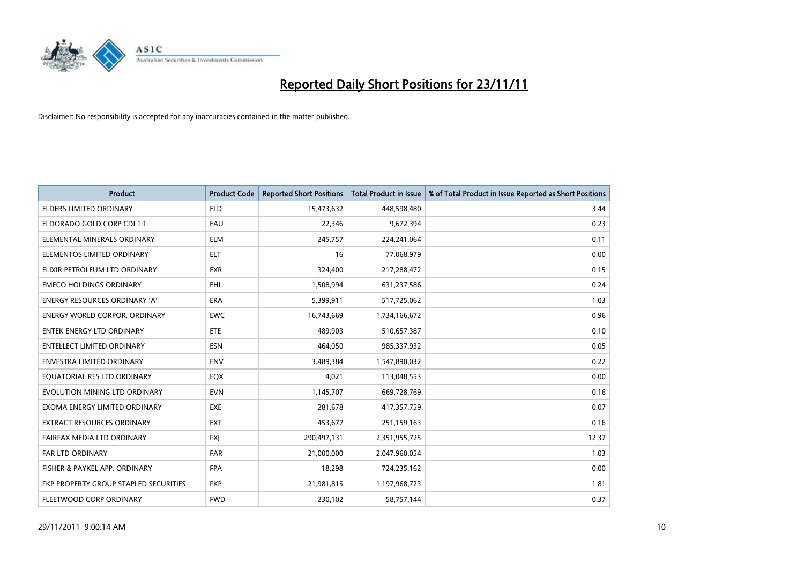

| <b>Product</b>                        | <b>Product Code</b> | <b>Reported Short Positions</b> | <b>Total Product in Issue</b> | % of Total Product in Issue Reported as Short Positions |
|---------------------------------------|---------------------|---------------------------------|-------------------------------|---------------------------------------------------------|
| <b>ELDERS LIMITED ORDINARY</b>        | <b>ELD</b>          | 15,473,632                      | 448,598,480                   | 3.44                                                    |
| ELDORADO GOLD CORP CDI 1:1            | EAU                 | 22,346                          | 9,672,394                     | 0.23                                                    |
| ELEMENTAL MINERALS ORDINARY           | <b>ELM</b>          | 245,757                         | 224,241,064                   | 0.11                                                    |
| ELEMENTOS LIMITED ORDINARY            | <b>ELT</b>          | 16                              | 77,068,979                    | 0.00                                                    |
| ELIXIR PETROLEUM LTD ORDINARY         | <b>EXR</b>          | 324,400                         | 217,288,472                   | 0.15                                                    |
| <b>EMECO HOLDINGS ORDINARY</b>        | <b>EHL</b>          | 1,508,994                       | 631,237,586                   | 0.24                                                    |
| ENERGY RESOURCES ORDINARY 'A'         | <b>ERA</b>          | 5,399,911                       | 517,725,062                   | 1.03                                                    |
| <b>ENERGY WORLD CORPOR, ORDINARY</b>  | <b>EWC</b>          | 16,743,669                      | 1,734,166,672                 | 0.96                                                    |
| <b>ENTEK ENERGY LTD ORDINARY</b>      | ETE                 | 489,903                         | 510,657,387                   | 0.10                                                    |
| <b>ENTELLECT LIMITED ORDINARY</b>     | <b>ESN</b>          | 464,050                         | 985,337,932                   | 0.05                                                    |
| <b>ENVESTRA LIMITED ORDINARY</b>      | <b>ENV</b>          | 3,489,384                       | 1,547,890,032                 | 0.22                                                    |
| EQUATORIAL RES LTD ORDINARY           | <b>EQX</b>          | 4,021                           | 113,048,553                   | 0.00                                                    |
| EVOLUTION MINING LTD ORDINARY         | <b>EVN</b>          | 1,145,707                       | 669,728,769                   | 0.16                                                    |
| EXOMA ENERGY LIMITED ORDINARY         | <b>EXE</b>          | 281,678                         | 417,357,759                   | 0.07                                                    |
| <b>EXTRACT RESOURCES ORDINARY</b>     | <b>EXT</b>          | 453,677                         | 251,159,163                   | 0.16                                                    |
| FAIRFAX MEDIA LTD ORDINARY            | <b>FXI</b>          | 290,497,131                     | 2,351,955,725                 | 12.37                                                   |
| FAR LTD ORDINARY                      | <b>FAR</b>          | 21,000,000                      | 2,047,960,054                 | 1.03                                                    |
| FISHER & PAYKEL APP. ORDINARY         | <b>FPA</b>          | 18,298                          | 724,235,162                   | 0.00                                                    |
| FKP PROPERTY GROUP STAPLED SECURITIES | <b>FKP</b>          | 21,981,815                      | 1,197,968,723                 | 1.81                                                    |
| FLEETWOOD CORP ORDINARY               | <b>FWD</b>          | 230,102                         | 58,757,144                    | 0.37                                                    |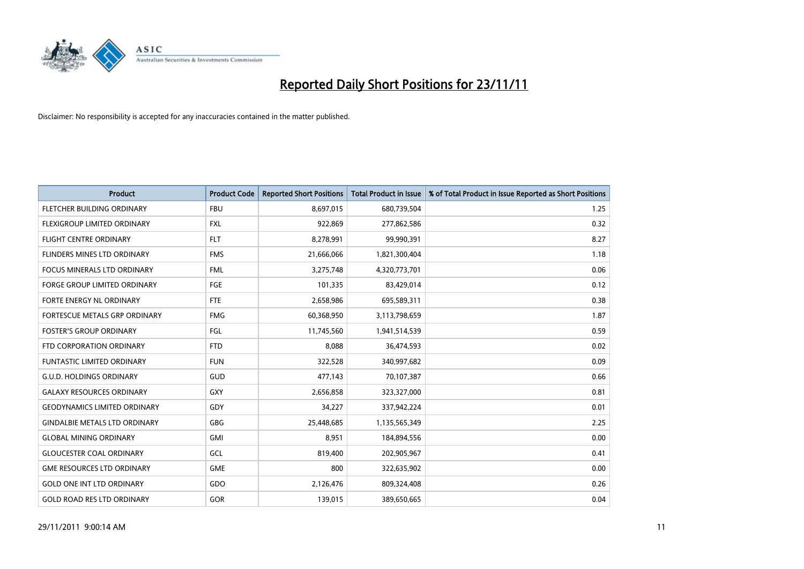

| <b>Product</b>                       | <b>Product Code</b> | <b>Reported Short Positions</b> | <b>Total Product in Issue</b> | % of Total Product in Issue Reported as Short Positions |
|--------------------------------------|---------------------|---------------------------------|-------------------------------|---------------------------------------------------------|
| FLETCHER BUILDING ORDINARY           | <b>FBU</b>          | 8,697,015                       | 680,739,504                   | 1.25                                                    |
| FLEXIGROUP LIMITED ORDINARY          | <b>FXL</b>          | 922,869                         | 277,862,586                   | 0.32                                                    |
| <b>FLIGHT CENTRE ORDINARY</b>        | <b>FLT</b>          | 8,278,991                       | 99,990,391                    | 8.27                                                    |
| FLINDERS MINES LTD ORDINARY          | <b>FMS</b>          | 21,666,066                      | 1,821,300,404                 | 1.18                                                    |
| <b>FOCUS MINERALS LTD ORDINARY</b>   | <b>FML</b>          | 3,275,748                       | 4,320,773,701                 | 0.06                                                    |
| <b>FORGE GROUP LIMITED ORDINARY</b>  | FGE                 | 101,335                         | 83,429,014                    | 0.12                                                    |
| FORTE ENERGY NL ORDINARY             | <b>FTE</b>          | 2,658,986                       | 695,589,311                   | 0.38                                                    |
| FORTESCUE METALS GRP ORDINARY        | <b>FMG</b>          | 60,368,950                      | 3,113,798,659                 | 1.87                                                    |
| <b>FOSTER'S GROUP ORDINARY</b>       | FGL                 | 11,745,560                      | 1,941,514,539                 | 0.59                                                    |
| FTD CORPORATION ORDINARY             | <b>FTD</b>          | 8,088                           | 36,474,593                    | 0.02                                                    |
| <b>FUNTASTIC LIMITED ORDINARY</b>    | <b>FUN</b>          | 322,528                         | 340,997,682                   | 0.09                                                    |
| <b>G.U.D. HOLDINGS ORDINARY</b>      | <b>GUD</b>          | 477,143                         | 70,107,387                    | 0.66                                                    |
| <b>GALAXY RESOURCES ORDINARY</b>     | <b>GXY</b>          | 2,656,858                       | 323,327,000                   | 0.81                                                    |
| <b>GEODYNAMICS LIMITED ORDINARY</b>  | GDY                 | 34,227                          | 337,942,224                   | 0.01                                                    |
| <b>GINDALBIE METALS LTD ORDINARY</b> | <b>GBG</b>          | 25,448,685                      | 1,135,565,349                 | 2.25                                                    |
| <b>GLOBAL MINING ORDINARY</b>        | <b>GMI</b>          | 8,951                           | 184,894,556                   | 0.00                                                    |
| <b>GLOUCESTER COAL ORDINARY</b>      | GCL                 | 819,400                         | 202,905,967                   | 0.41                                                    |
| <b>GME RESOURCES LTD ORDINARY</b>    | <b>GME</b>          | 800                             | 322,635,902                   | 0.00                                                    |
| <b>GOLD ONE INT LTD ORDINARY</b>     | GDO                 | 2,126,476                       | 809,324,408                   | 0.26                                                    |
| <b>GOLD ROAD RES LTD ORDINARY</b>    | <b>GOR</b>          | 139.015                         | 389,650,665                   | 0.04                                                    |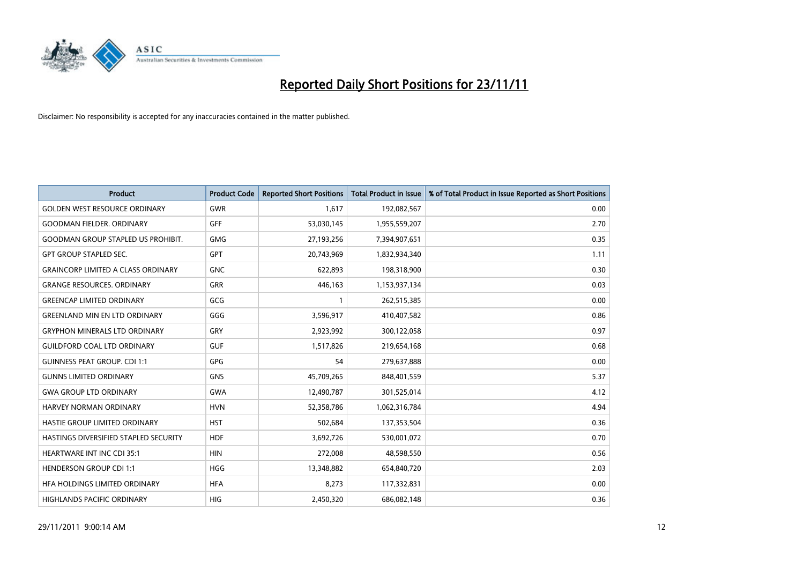

| <b>Product</b>                            | <b>Product Code</b> | <b>Reported Short Positions</b> | <b>Total Product in Issue</b> | % of Total Product in Issue Reported as Short Positions |
|-------------------------------------------|---------------------|---------------------------------|-------------------------------|---------------------------------------------------------|
| <b>GOLDEN WEST RESOURCE ORDINARY</b>      | <b>GWR</b>          | 1.617                           | 192,082,567                   | 0.00                                                    |
| <b>GOODMAN FIELDER. ORDINARY</b>          | <b>GFF</b>          | 53,030,145                      | 1,955,559,207                 | 2.70                                                    |
| <b>GOODMAN GROUP STAPLED US PROHIBIT.</b> | <b>GMG</b>          | 27,193,256                      | 7,394,907,651                 | 0.35                                                    |
| <b>GPT GROUP STAPLED SEC.</b>             | <b>GPT</b>          | 20,743,969                      | 1,832,934,340                 | 1.11                                                    |
| <b>GRAINCORP LIMITED A CLASS ORDINARY</b> | <b>GNC</b>          | 622,893                         | 198,318,900                   | 0.30                                                    |
| <b>GRANGE RESOURCES. ORDINARY</b>         | <b>GRR</b>          | 446,163                         | 1,153,937,134                 | 0.03                                                    |
| <b>GREENCAP LIMITED ORDINARY</b>          | GCG                 |                                 | 262,515,385                   | 0.00                                                    |
| <b>GREENLAND MIN EN LTD ORDINARY</b>      | GGG                 | 3,596,917                       | 410,407,582                   | 0.86                                                    |
| <b>GRYPHON MINERALS LTD ORDINARY</b>      | GRY                 | 2,923,992                       | 300,122,058                   | 0.97                                                    |
| <b>GUILDFORD COAL LTD ORDINARY</b>        | <b>GUF</b>          | 1,517,826                       | 219,654,168                   | 0.68                                                    |
| <b>GUINNESS PEAT GROUP. CDI 1:1</b>       | <b>GPG</b>          | 54                              | 279,637,888                   | 0.00                                                    |
| <b>GUNNS LIMITED ORDINARY</b>             | <b>GNS</b>          | 45,709,265                      | 848,401,559                   | 5.37                                                    |
| <b>GWA GROUP LTD ORDINARY</b>             | <b>GWA</b>          | 12,490,787                      | 301,525,014                   | 4.12                                                    |
| <b>HARVEY NORMAN ORDINARY</b>             | <b>HVN</b>          | 52,358,786                      | 1,062,316,784                 | 4.94                                                    |
| HASTIE GROUP LIMITED ORDINARY             | <b>HST</b>          | 502,684                         | 137,353,504                   | 0.36                                                    |
| HASTINGS DIVERSIFIED STAPLED SECURITY     | <b>HDF</b>          | 3,692,726                       | 530,001,072                   | 0.70                                                    |
| <b>HEARTWARE INT INC CDI 35:1</b>         | <b>HIN</b>          | 272,008                         | 48,598,550                    | 0.56                                                    |
| <b>HENDERSON GROUP CDI 1:1</b>            | <b>HGG</b>          | 13,348,882                      | 654,840,720                   | 2.03                                                    |
| HFA HOLDINGS LIMITED ORDINARY             | <b>HFA</b>          | 8,273                           | 117,332,831                   | 0.00                                                    |
| <b>HIGHLANDS PACIFIC ORDINARY</b>         | <b>HIG</b>          | 2,450,320                       | 686,082,148                   | 0.36                                                    |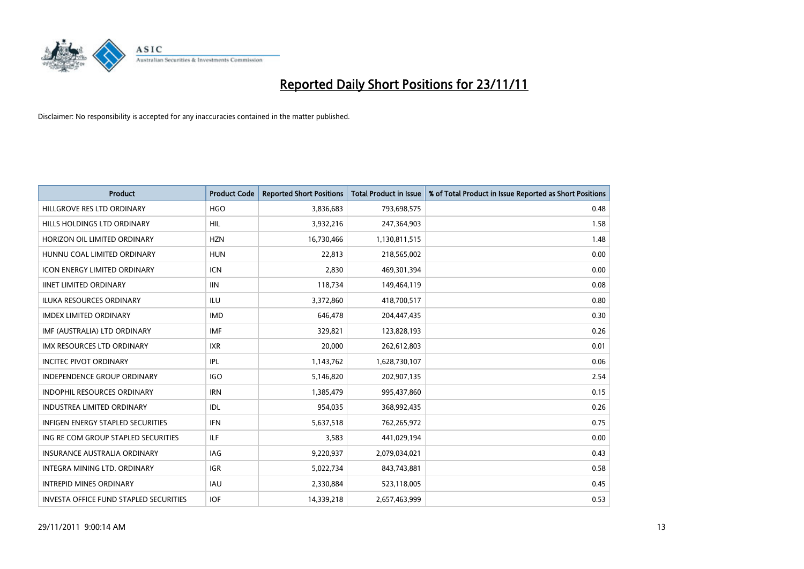

| <b>Product</b>                           | <b>Product Code</b> | <b>Reported Short Positions</b> | <b>Total Product in Issue</b> | % of Total Product in Issue Reported as Short Positions |
|------------------------------------------|---------------------|---------------------------------|-------------------------------|---------------------------------------------------------|
| HILLGROVE RES LTD ORDINARY               | <b>HGO</b>          | 3,836,683                       | 793,698,575                   | 0.48                                                    |
| HILLS HOLDINGS LTD ORDINARY              | <b>HIL</b>          | 3,932,216                       | 247,364,903                   | 1.58                                                    |
| HORIZON OIL LIMITED ORDINARY             | <b>HZN</b>          | 16,730,466                      | 1,130,811,515                 | 1.48                                                    |
| HUNNU COAL LIMITED ORDINARY              | <b>HUN</b>          | 22,813                          | 218,565,002                   | 0.00                                                    |
| <b>ICON ENERGY LIMITED ORDINARY</b>      | <b>ICN</b>          | 2,830                           | 469,301,394                   | 0.00                                                    |
| <b>IINET LIMITED ORDINARY</b>            | <b>IIN</b>          | 118,734                         | 149,464,119                   | 0.08                                                    |
| ILUKA RESOURCES ORDINARY                 | ILU                 | 3,372,860                       | 418,700,517                   | 0.80                                                    |
| <b>IMDEX LIMITED ORDINARY</b>            | <b>IMD</b>          | 646.478                         | 204,447,435                   | 0.30                                                    |
| IMF (AUSTRALIA) LTD ORDINARY             | <b>IMF</b>          | 329,821                         | 123,828,193                   | 0.26                                                    |
| <b>IMX RESOURCES LTD ORDINARY</b>        | <b>IXR</b>          | 20,000                          | 262,612,803                   | 0.01                                                    |
| <b>INCITEC PIVOT ORDINARY</b>            | IPL                 | 1,143,762                       | 1,628,730,107                 | 0.06                                                    |
| <b>INDEPENDENCE GROUP ORDINARY</b>       | <b>IGO</b>          | 5,146,820                       | 202,907,135                   | 2.54                                                    |
| <b>INDOPHIL RESOURCES ORDINARY</b>       | <b>IRN</b>          | 1,385,479                       | 995,437,860                   | 0.15                                                    |
| <b>INDUSTREA LIMITED ORDINARY</b>        | IDL                 | 954,035                         | 368,992,435                   | 0.26                                                    |
| <b>INFIGEN ENERGY STAPLED SECURITIES</b> | <b>IFN</b>          | 5,637,518                       | 762,265,972                   | 0.75                                                    |
| ING RE COM GROUP STAPLED SECURITIES      | ILF.                | 3,583                           | 441,029,194                   | 0.00                                                    |
| <b>INSURANCE AUSTRALIA ORDINARY</b>      | IAG                 | 9,220,937                       | 2,079,034,021                 | 0.43                                                    |
| <b>INTEGRA MINING LTD, ORDINARY</b>      | <b>IGR</b>          | 5,022,734                       | 843,743,881                   | 0.58                                                    |
| <b>INTREPID MINES ORDINARY</b>           | <b>IAU</b>          | 2,330,884                       | 523,118,005                   | 0.45                                                    |
| INVESTA OFFICE FUND STAPLED SECURITIES   | <b>IOF</b>          | 14,339,218                      | 2,657,463,999                 | 0.53                                                    |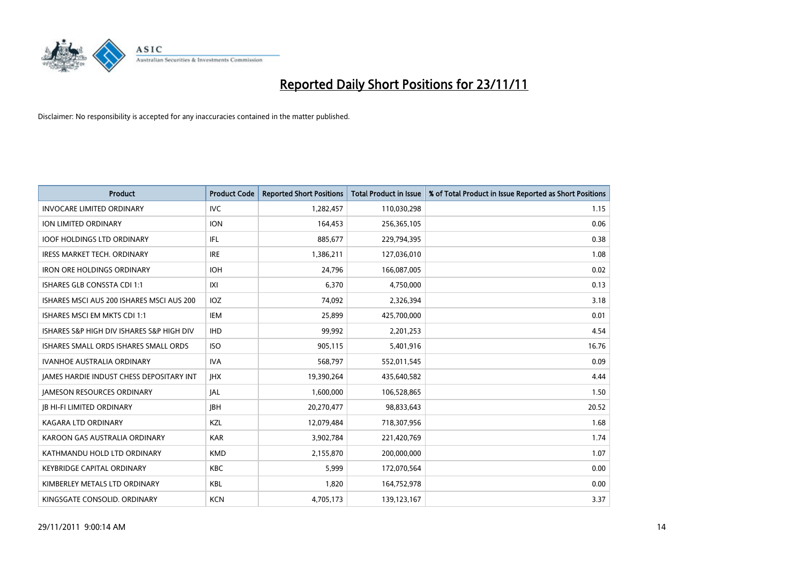

| <b>Product</b>                                  | <b>Product Code</b> | <b>Reported Short Positions</b> | <b>Total Product in Issue</b> | % of Total Product in Issue Reported as Short Positions |
|-------------------------------------------------|---------------------|---------------------------------|-------------------------------|---------------------------------------------------------|
| <b>INVOCARE LIMITED ORDINARY</b>                | <b>IVC</b>          | 1,282,457                       | 110,030,298                   | 1.15                                                    |
| ION LIMITED ORDINARY                            | <b>ION</b>          | 164,453                         | 256,365,105                   | 0.06                                                    |
| <b>IOOF HOLDINGS LTD ORDINARY</b>               | <b>IFL</b>          | 885,677                         | 229,794,395                   | 0.38                                                    |
| IRESS MARKET TECH. ORDINARY                     | <b>IRE</b>          | 1,386,211                       | 127,036,010                   | 1.08                                                    |
| <b>IRON ORE HOLDINGS ORDINARY</b>               | <b>IOH</b>          | 24,796                          | 166,087,005                   | 0.02                                                    |
| <b>ISHARES GLB CONSSTA CDI 1:1</b>              | X                   | 6,370                           | 4,750,000                     | 0.13                                                    |
| ISHARES MSCI AUS 200 ISHARES MSCI AUS 200       | IOZ.                | 74,092                          | 2,326,394                     | 3.18                                                    |
| ISHARES MSCI EM MKTS CDI 1:1                    | IEM                 | 25,899                          | 425,700,000                   | 0.01                                                    |
| ISHARES S&P HIGH DIV ISHARES S&P HIGH DIV       | <b>IHD</b>          | 99,992                          | 2,201,253                     | 4.54                                                    |
| ISHARES SMALL ORDS ISHARES SMALL ORDS           | ISO.                | 905,115                         | 5,401,916                     | 16.76                                                   |
| IVANHOE AUSTRALIA ORDINARY                      | <b>IVA</b>          | 568,797                         | 552,011,545                   | 0.09                                                    |
| <b>JAMES HARDIE INDUST CHESS DEPOSITARY INT</b> | <b>IHX</b>          | 19,390,264                      | 435,640,582                   | 4.44                                                    |
| <b>JAMESON RESOURCES ORDINARY</b>               | <b>JAL</b>          | 1,600,000                       | 106,528,865                   | 1.50                                                    |
| <b>JB HI-FI LIMITED ORDINARY</b>                | <b>IBH</b>          | 20,270,477                      | 98,833,643                    | 20.52                                                   |
| <b>KAGARA LTD ORDINARY</b>                      | <b>KZL</b>          | 12,079,484                      | 718,307,956                   | 1.68                                                    |
| KAROON GAS AUSTRALIA ORDINARY                   | <b>KAR</b>          | 3,902,784                       | 221,420,769                   | 1.74                                                    |
| KATHMANDU HOLD LTD ORDINARY                     | <b>KMD</b>          | 2,155,870                       | 200,000,000                   | 1.07                                                    |
| KEYBRIDGE CAPITAL ORDINARY                      | <b>KBC</b>          | 5,999                           | 172,070,564                   | 0.00                                                    |
| KIMBERLEY METALS LTD ORDINARY                   | <b>KBL</b>          | 1,820                           | 164,752,978                   | 0.00                                                    |
| KINGSGATE CONSOLID. ORDINARY                    | <b>KCN</b>          | 4,705,173                       | 139,123,167                   | 3.37                                                    |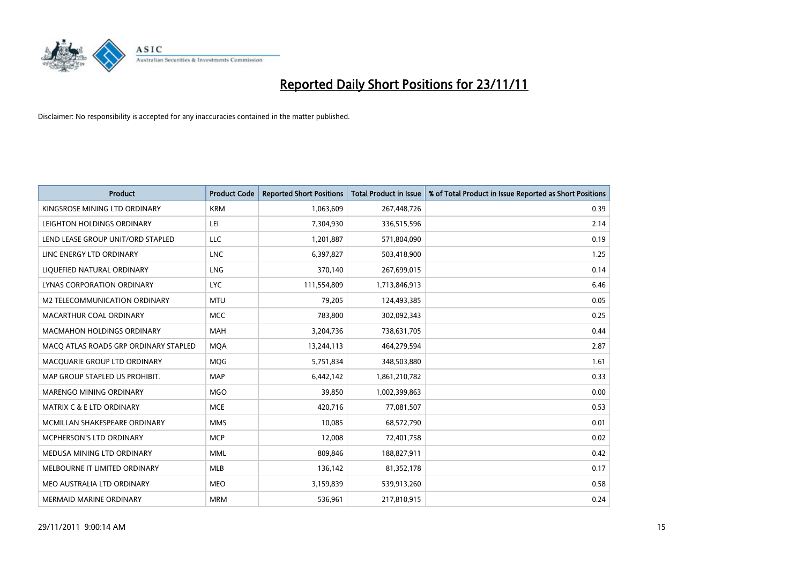

| <b>Product</b>                        | <b>Product Code</b> | <b>Reported Short Positions</b> | <b>Total Product in Issue</b> | % of Total Product in Issue Reported as Short Positions |
|---------------------------------------|---------------------|---------------------------------|-------------------------------|---------------------------------------------------------|
| KINGSROSE MINING LTD ORDINARY         | <b>KRM</b>          | 1,063,609                       | 267,448,726                   | 0.39                                                    |
| LEIGHTON HOLDINGS ORDINARY            | LEI                 | 7,304,930                       | 336,515,596                   | 2.14                                                    |
| LEND LEASE GROUP UNIT/ORD STAPLED     | LLC                 | 1,201,887                       | 571,804,090                   | 0.19                                                    |
| LINC ENERGY LTD ORDINARY              | <b>LNC</b>          | 6,397,827                       | 503,418,900                   | 1.25                                                    |
| LIQUEFIED NATURAL ORDINARY            | <b>LNG</b>          | 370,140                         | 267,699,015                   | 0.14                                                    |
| LYNAS CORPORATION ORDINARY            | <b>LYC</b>          | 111,554,809                     | 1,713,846,913                 | 6.46                                                    |
| M2 TELECOMMUNICATION ORDINARY         | <b>MTU</b>          | 79,205                          | 124,493,385                   | 0.05                                                    |
| MACARTHUR COAL ORDINARY               | <b>MCC</b>          | 783,800                         | 302,092,343                   | 0.25                                                    |
| <b>MACMAHON HOLDINGS ORDINARY</b>     | <b>MAH</b>          | 3,204,736                       | 738,631,705                   | 0.44                                                    |
| MACO ATLAS ROADS GRP ORDINARY STAPLED | <b>MOA</b>          | 13,244,113                      | 464,279,594                   | 2.87                                                    |
| MACQUARIE GROUP LTD ORDINARY          | <b>MOG</b>          | 5,751,834                       | 348,503,880                   | 1.61                                                    |
| MAP GROUP STAPLED US PROHIBIT.        | <b>MAP</b>          | 6,442,142                       | 1,861,210,782                 | 0.33                                                    |
| MARENGO MINING ORDINARY               | <b>MGO</b>          | 39,850                          | 1,002,399,863                 | 0.00                                                    |
| MATRIX C & E LTD ORDINARY             | <b>MCE</b>          | 420,716                         | 77,081,507                    | 0.53                                                    |
| MCMILLAN SHAKESPEARE ORDINARY         | <b>MMS</b>          | 10,085                          | 68,572,790                    | 0.01                                                    |
| MCPHERSON'S LTD ORDINARY              | <b>MCP</b>          | 12,008                          | 72,401,758                    | 0.02                                                    |
| MEDUSA MINING LTD ORDINARY            | <b>MML</b>          | 809,846                         | 188,827,911                   | 0.42                                                    |
| MELBOURNE IT LIMITED ORDINARY         | <b>MLB</b>          | 136,142                         | 81,352,178                    | 0.17                                                    |
| MEO AUSTRALIA LTD ORDINARY            | <b>MEO</b>          | 3,159,839                       | 539,913,260                   | 0.58                                                    |
| MERMAID MARINE ORDINARY               | <b>MRM</b>          | 536,961                         | 217,810,915                   | 0.24                                                    |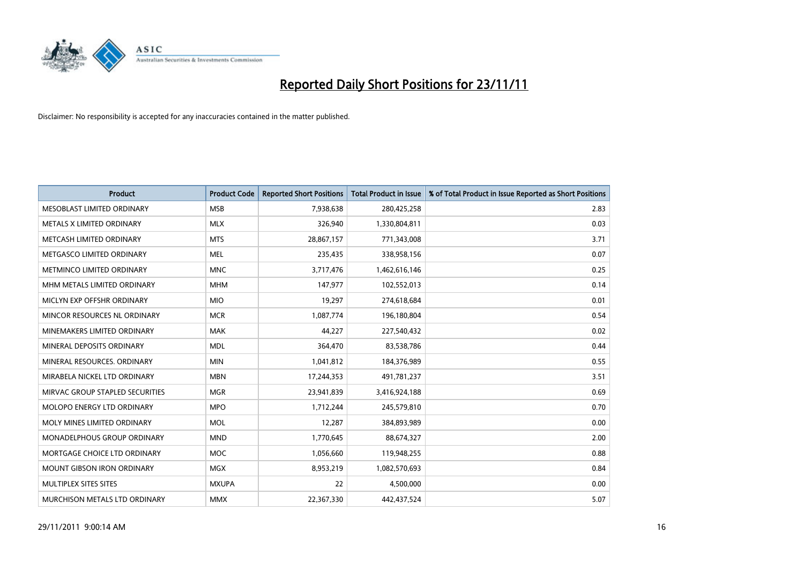

| <b>Product</b>                       | <b>Product Code</b> | <b>Reported Short Positions</b> | <b>Total Product in Issue</b> | % of Total Product in Issue Reported as Short Positions |
|--------------------------------------|---------------------|---------------------------------|-------------------------------|---------------------------------------------------------|
| MESOBLAST LIMITED ORDINARY           | <b>MSB</b>          | 7,938,638                       | 280,425,258                   | 2.83                                                    |
| METALS X LIMITED ORDINARY            | <b>MLX</b>          | 326,940                         | 1,330,804,811                 | 0.03                                                    |
| METCASH LIMITED ORDINARY             | <b>MTS</b>          | 28,867,157                      | 771,343,008                   | 3.71                                                    |
| METGASCO LIMITED ORDINARY            | <b>MEL</b>          | 235,435                         | 338,958,156                   | 0.07                                                    |
| METMINCO LIMITED ORDINARY            | <b>MNC</b>          | 3,717,476                       | 1,462,616,146                 | 0.25                                                    |
| MHM METALS LIMITED ORDINARY          | <b>MHM</b>          | 147,977                         | 102,552,013                   | 0.14                                                    |
| MICLYN EXP OFFSHR ORDINARY           | <b>MIO</b>          | 19,297                          | 274,618,684                   | 0.01                                                    |
| MINCOR RESOURCES NL ORDINARY         | <b>MCR</b>          | 1,087,774                       | 196,180,804                   | 0.54                                                    |
| MINEMAKERS LIMITED ORDINARY          | <b>MAK</b>          | 44,227                          | 227,540,432                   | 0.02                                                    |
| MINERAL DEPOSITS ORDINARY            | <b>MDL</b>          | 364,470                         | 83,538,786                    | 0.44                                                    |
| MINERAL RESOURCES. ORDINARY          | <b>MIN</b>          | 1,041,812                       | 184,376,989                   | 0.55                                                    |
| MIRABELA NICKEL LTD ORDINARY         | <b>MBN</b>          | 17,244,353                      | 491,781,237                   | 3.51                                                    |
| MIRVAC GROUP STAPLED SECURITIES      | <b>MGR</b>          | 23,941,839                      | 3,416,924,188                 | 0.69                                                    |
| MOLOPO ENERGY LTD ORDINARY           | <b>MPO</b>          | 1,712,244                       | 245,579,810                   | 0.70                                                    |
| MOLY MINES LIMITED ORDINARY          | <b>MOL</b>          | 12,287                          | 384,893,989                   | 0.00                                                    |
| MONADELPHOUS GROUP ORDINARY          | <b>MND</b>          | 1,770,645                       | 88,674,327                    | 2.00                                                    |
| MORTGAGE CHOICE LTD ORDINARY         | <b>MOC</b>          | 1,056,660                       | 119,948,255                   | 0.88                                                    |
| <b>MOUNT GIBSON IRON ORDINARY</b>    | <b>MGX</b>          | 8,953,219                       | 1,082,570,693                 | 0.84                                                    |
| MULTIPLEX SITES SITES                | <b>MXUPA</b>        | 22                              | 4,500,000                     | 0.00                                                    |
| <b>MURCHISON METALS LTD ORDINARY</b> | <b>MMX</b>          | 22,367,330                      | 442.437.524                   | 5.07                                                    |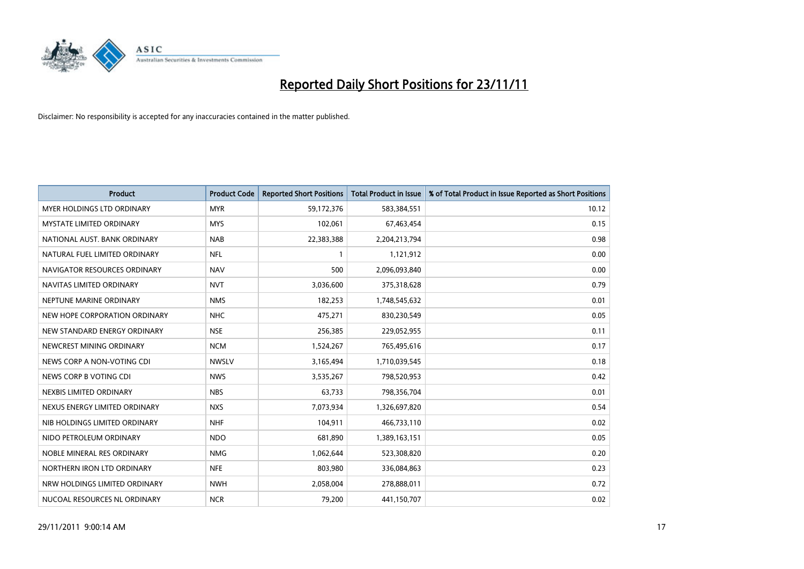

| <b>Product</b>                    | <b>Product Code</b> | <b>Reported Short Positions</b> | <b>Total Product in Issue</b> | % of Total Product in Issue Reported as Short Positions |
|-----------------------------------|---------------------|---------------------------------|-------------------------------|---------------------------------------------------------|
| <b>MYER HOLDINGS LTD ORDINARY</b> | <b>MYR</b>          | 59,172,376                      | 583,384,551                   | 10.12                                                   |
| MYSTATE LIMITED ORDINARY          | <b>MYS</b>          | 102,061                         | 67,463,454                    | 0.15                                                    |
| NATIONAL AUST. BANK ORDINARY      | <b>NAB</b>          | 22,383,388                      | 2,204,213,794                 | 0.98                                                    |
| NATURAL FUEL LIMITED ORDINARY     | <b>NFL</b>          | 1                               | 1,121,912                     | 0.00                                                    |
| NAVIGATOR RESOURCES ORDINARY      | <b>NAV</b>          | 500                             | 2,096,093,840                 | 0.00                                                    |
| NAVITAS LIMITED ORDINARY          | <b>NVT</b>          | 3,036,600                       | 375,318,628                   | 0.79                                                    |
| NEPTUNE MARINE ORDINARY           | <b>NMS</b>          | 182,253                         | 1,748,545,632                 | 0.01                                                    |
| NEW HOPE CORPORATION ORDINARY     | <b>NHC</b>          | 475,271                         | 830,230,549                   | 0.05                                                    |
| NEW STANDARD ENERGY ORDINARY      | <b>NSE</b>          | 256,385                         | 229,052,955                   | 0.11                                                    |
| NEWCREST MINING ORDINARY          | <b>NCM</b>          | 1,524,267                       | 765,495,616                   | 0.17                                                    |
| NEWS CORP A NON-VOTING CDI        | <b>NWSLV</b>        | 3,165,494                       | 1,710,039,545                 | 0.18                                                    |
| NEWS CORP B VOTING CDI            | <b>NWS</b>          | 3,535,267                       | 798,520,953                   | 0.42                                                    |
| NEXBIS LIMITED ORDINARY           | <b>NBS</b>          | 63,733                          | 798,356,704                   | 0.01                                                    |
| NEXUS ENERGY LIMITED ORDINARY     | <b>NXS</b>          | 7,073,934                       | 1,326,697,820                 | 0.54                                                    |
| NIB HOLDINGS LIMITED ORDINARY     | <b>NHF</b>          | 104,911                         | 466,733,110                   | 0.02                                                    |
| NIDO PETROLEUM ORDINARY           | <b>NDO</b>          | 681,890                         | 1,389,163,151                 | 0.05                                                    |
| NOBLE MINERAL RES ORDINARY        | <b>NMG</b>          | 1,062,644                       | 523,308,820                   | 0.20                                                    |
| NORTHERN IRON LTD ORDINARY        | <b>NFE</b>          | 803,980                         | 336,084,863                   | 0.23                                                    |
| NRW HOLDINGS LIMITED ORDINARY     | <b>NWH</b>          | 2,058,004                       | 278,888,011                   | 0.72                                                    |
| NUCOAL RESOURCES NL ORDINARY      | <b>NCR</b>          | 79,200                          | 441,150,707                   | 0.02                                                    |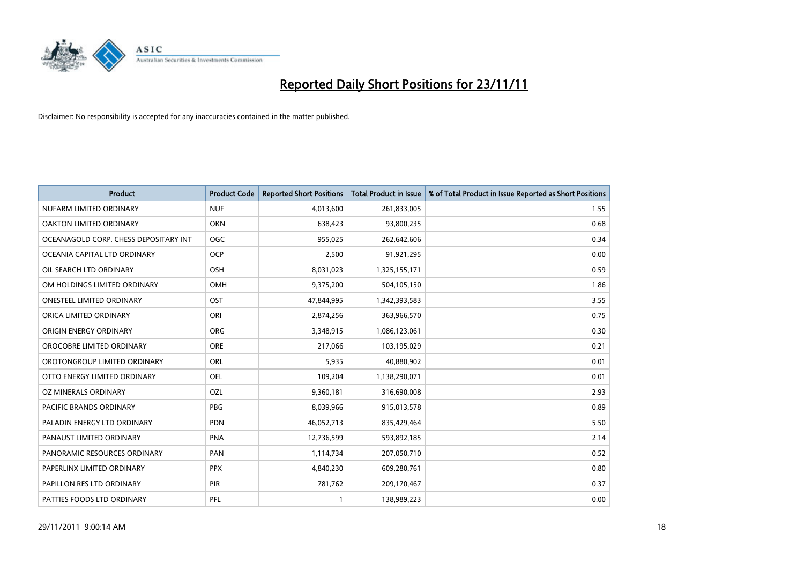

| <b>Product</b>                        | <b>Product Code</b> | <b>Reported Short Positions</b> | <b>Total Product in Issue</b> | % of Total Product in Issue Reported as Short Positions |
|---------------------------------------|---------------------|---------------------------------|-------------------------------|---------------------------------------------------------|
| NUFARM LIMITED ORDINARY               | <b>NUF</b>          | 4,013,600                       | 261,833,005                   | 1.55                                                    |
| OAKTON LIMITED ORDINARY               | <b>OKN</b>          | 638,423                         | 93,800,235                    | 0.68                                                    |
| OCEANAGOLD CORP. CHESS DEPOSITARY INT | <b>OGC</b>          | 955,025                         | 262,642,606                   | 0.34                                                    |
| OCEANIA CAPITAL LTD ORDINARY          | <b>OCP</b>          | 2,500                           | 91,921,295                    | 0.00                                                    |
| OIL SEARCH LTD ORDINARY               | <b>OSH</b>          | 8,031,023                       | 1,325,155,171                 | 0.59                                                    |
| OM HOLDINGS LIMITED ORDINARY          | OMH                 | 9,375,200                       | 504,105,150                   | 1.86                                                    |
| ONESTEEL LIMITED ORDINARY             | OST                 | 47,844,995                      | 1,342,393,583                 | 3.55                                                    |
| ORICA LIMITED ORDINARY                | ORI                 | 2,874,256                       | 363,966,570                   | 0.75                                                    |
| ORIGIN ENERGY ORDINARY                | <b>ORG</b>          | 3,348,915                       | 1,086,123,061                 | 0.30                                                    |
| OROCOBRE LIMITED ORDINARY             | <b>ORE</b>          | 217,066                         | 103,195,029                   | 0.21                                                    |
| OROTONGROUP LIMITED ORDINARY          | ORL                 | 5,935                           | 40,880,902                    | 0.01                                                    |
| OTTO ENERGY LIMITED ORDINARY          | OEL                 | 109,204                         | 1,138,290,071                 | 0.01                                                    |
| OZ MINERALS ORDINARY                  | OZL                 | 9,360,181                       | 316,690,008                   | 2.93                                                    |
| <b>PACIFIC BRANDS ORDINARY</b>        | <b>PBG</b>          | 8,039,966                       | 915,013,578                   | 0.89                                                    |
| PALADIN ENERGY LTD ORDINARY           | <b>PDN</b>          | 46,052,713                      | 835,429,464                   | 5.50                                                    |
| PANAUST LIMITED ORDINARY              | <b>PNA</b>          | 12,736,599                      | 593,892,185                   | 2.14                                                    |
| PANORAMIC RESOURCES ORDINARY          | PAN                 | 1,114,734                       | 207,050,710                   | 0.52                                                    |
| PAPERLINX LIMITED ORDINARY            | <b>PPX</b>          | 4,840,230                       | 609,280,761                   | 0.80                                                    |
| PAPILLON RES LTD ORDINARY             | <b>PIR</b>          | 781,762                         | 209,170,467                   | 0.37                                                    |
| PATTIES FOODS LTD ORDINARY            | PFL                 |                                 | 138,989,223                   | 0.00                                                    |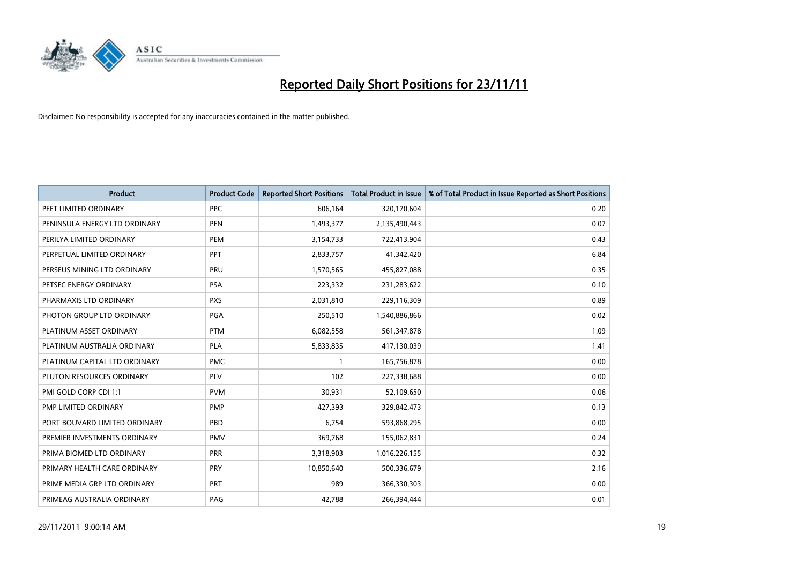

| <b>Product</b>                | <b>Product Code</b> | <b>Reported Short Positions</b> | <b>Total Product in Issue</b> | % of Total Product in Issue Reported as Short Positions |
|-------------------------------|---------------------|---------------------------------|-------------------------------|---------------------------------------------------------|
| PEET LIMITED ORDINARY         | <b>PPC</b>          | 606,164                         | 320,170,604                   | 0.20                                                    |
| PENINSULA ENERGY LTD ORDINARY | <b>PEN</b>          | 1,493,377                       | 2,135,490,443                 | 0.07                                                    |
| PERILYA LIMITED ORDINARY      | PEM                 | 3,154,733                       | 722,413,904                   | 0.43                                                    |
| PERPETUAL LIMITED ORDINARY    | <b>PPT</b>          | 2,833,757                       | 41,342,420                    | 6.84                                                    |
| PERSEUS MINING LTD ORDINARY   | PRU                 | 1,570,565                       | 455,827,088                   | 0.35                                                    |
| PETSEC ENERGY ORDINARY        | <b>PSA</b>          | 223,332                         | 231,283,622                   | 0.10                                                    |
| PHARMAXIS LTD ORDINARY        | <b>PXS</b>          | 2,031,810                       | 229,116,309                   | 0.89                                                    |
| PHOTON GROUP LTD ORDINARY     | PGA                 | 250,510                         | 1,540,886,866                 | 0.02                                                    |
| PLATINUM ASSET ORDINARY       | <b>PTM</b>          | 6,082,558                       | 561,347,878                   | 1.09                                                    |
| PLATINUM AUSTRALIA ORDINARY   | <b>PLA</b>          | 5,833,835                       | 417,130,039                   | 1.41                                                    |
| PLATINUM CAPITAL LTD ORDINARY | <b>PMC</b>          |                                 | 165,756,878                   | 0.00                                                    |
| PLUTON RESOURCES ORDINARY     | <b>PLV</b>          | 102                             | 227,338,688                   | 0.00                                                    |
| PMI GOLD CORP CDI 1:1         | <b>PVM</b>          | 30,931                          | 52,109,650                    | 0.06                                                    |
| PMP LIMITED ORDINARY          | <b>PMP</b>          | 427.393                         | 329,842,473                   | 0.13                                                    |
| PORT BOUVARD LIMITED ORDINARY | PBD                 | 6,754                           | 593,868,295                   | 0.00                                                    |
| PREMIER INVESTMENTS ORDINARY  | <b>PMV</b>          | 369,768                         | 155,062,831                   | 0.24                                                    |
| PRIMA BIOMED LTD ORDINARY     | PRR                 | 3,318,903                       | 1,016,226,155                 | 0.32                                                    |
| PRIMARY HEALTH CARE ORDINARY  | <b>PRY</b>          | 10,850,640                      | 500,336,679                   | 2.16                                                    |
| PRIME MEDIA GRP LTD ORDINARY  | <b>PRT</b>          | 989                             | 366,330,303                   | 0.00                                                    |
| PRIMEAG AUSTRALIA ORDINARY    | PAG                 | 42.788                          | 266.394.444                   | 0.01                                                    |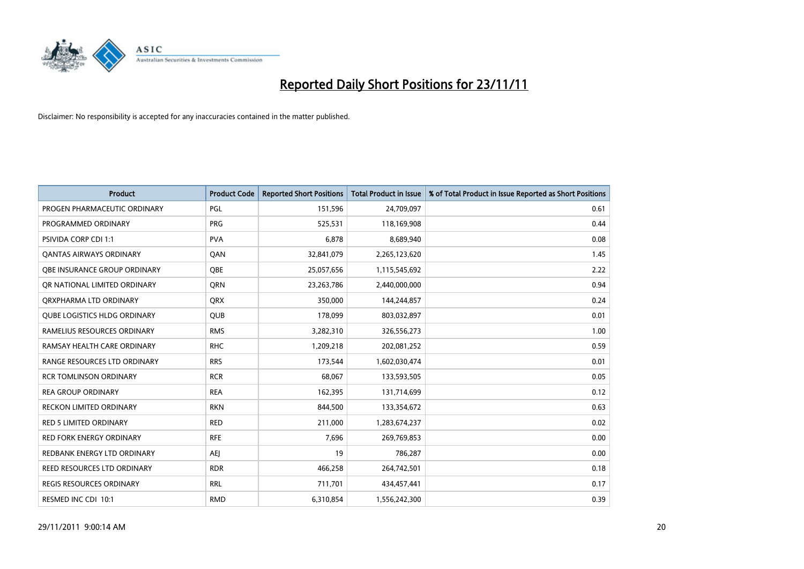

| <b>Product</b>                      | <b>Product Code</b> | <b>Reported Short Positions</b> | <b>Total Product in Issue</b> | % of Total Product in Issue Reported as Short Positions |
|-------------------------------------|---------------------|---------------------------------|-------------------------------|---------------------------------------------------------|
| PROGEN PHARMACEUTIC ORDINARY        | <b>PGL</b>          | 151,596                         | 24,709,097                    | 0.61                                                    |
| PROGRAMMED ORDINARY                 | <b>PRG</b>          | 525,531                         | 118,169,908                   | 0.44                                                    |
| <b>PSIVIDA CORP CDI 1:1</b>         | <b>PVA</b>          | 6,878                           | 8,689,940                     | 0.08                                                    |
| <b>QANTAS AIRWAYS ORDINARY</b>      | QAN                 | 32,841,079                      | 2,265,123,620                 | 1.45                                                    |
| <b>OBE INSURANCE GROUP ORDINARY</b> | <b>OBE</b>          | 25,057,656                      | 1,115,545,692                 | 2.22                                                    |
| OR NATIONAL LIMITED ORDINARY        | <b>ORN</b>          | 23,263,786                      | 2,440,000,000                 | 0.94                                                    |
| ORXPHARMA LTD ORDINARY              | <b>ORX</b>          | 350,000                         | 144,244,857                   | 0.24                                                    |
| <b>QUBE LOGISTICS HLDG ORDINARY</b> | <b>QUB</b>          | 178,099                         | 803,032,897                   | 0.01                                                    |
| RAMELIUS RESOURCES ORDINARY         | <b>RMS</b>          | 3,282,310                       | 326,556,273                   | 1.00                                                    |
| RAMSAY HEALTH CARE ORDINARY         | <b>RHC</b>          | 1,209,218                       | 202,081,252                   | 0.59                                                    |
| RANGE RESOURCES LTD ORDINARY        | <b>RRS</b>          | 173,544                         | 1,602,030,474                 | 0.01                                                    |
| <b>RCR TOMLINSON ORDINARY</b>       | <b>RCR</b>          | 68,067                          | 133,593,505                   | 0.05                                                    |
| <b>REA GROUP ORDINARY</b>           | <b>REA</b>          | 162,395                         | 131,714,699                   | 0.12                                                    |
| <b>RECKON LIMITED ORDINARY</b>      | <b>RKN</b>          | 844,500                         | 133,354,672                   | 0.63                                                    |
| RED 5 LIMITED ORDINARY              | <b>RED</b>          | 211,000                         | 1,283,674,237                 | 0.02                                                    |
| <b>RED FORK ENERGY ORDINARY</b>     | <b>RFE</b>          | 7,696                           | 269,769,853                   | 0.00                                                    |
| REDBANK ENERGY LTD ORDINARY         | <b>AEI</b>          | 19                              | 786,287                       | 0.00                                                    |
| REED RESOURCES LTD ORDINARY         | <b>RDR</b>          | 466,258                         | 264,742,501                   | 0.18                                                    |
| <b>REGIS RESOURCES ORDINARY</b>     | <b>RRL</b>          | 711,701                         | 434,457,441                   | 0.17                                                    |
| RESMED INC CDI 10:1                 | <b>RMD</b>          | 6,310,854                       | 1,556,242,300                 | 0.39                                                    |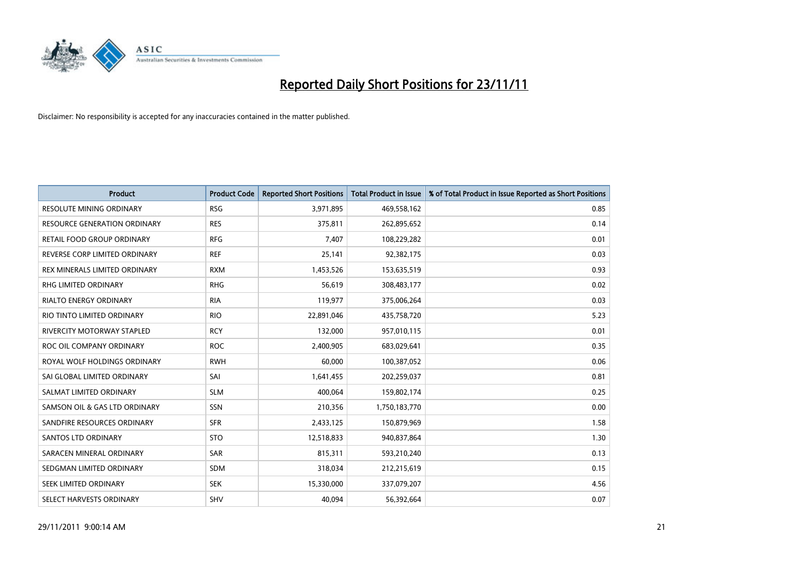

| <b>Product</b>                    | <b>Product Code</b> | <b>Reported Short Positions</b> | <b>Total Product in Issue</b> | % of Total Product in Issue Reported as Short Positions |
|-----------------------------------|---------------------|---------------------------------|-------------------------------|---------------------------------------------------------|
| <b>RESOLUTE MINING ORDINARY</b>   | <b>RSG</b>          | 3,971,895                       | 469,558,162                   | 0.85                                                    |
| RESOURCE GENERATION ORDINARY      | <b>RES</b>          | 375,811                         | 262,895,652                   | 0.14                                                    |
| RETAIL FOOD GROUP ORDINARY        | <b>RFG</b>          | 7.407                           | 108,229,282                   | 0.01                                                    |
| REVERSE CORP LIMITED ORDINARY     | <b>REF</b>          | 25,141                          | 92,382,175                    | 0.03                                                    |
| REX MINERALS LIMITED ORDINARY     | <b>RXM</b>          | 1,453,526                       | 153,635,519                   | 0.93                                                    |
| <b>RHG LIMITED ORDINARY</b>       | <b>RHG</b>          | 56,619                          | 308,483,177                   | 0.02                                                    |
| <b>RIALTO ENERGY ORDINARY</b>     | <b>RIA</b>          | 119,977                         | 375,006,264                   | 0.03                                                    |
| RIO TINTO LIMITED ORDINARY        | <b>RIO</b>          | 22,891,046                      | 435,758,720                   | 5.23                                                    |
| <b>RIVERCITY MOTORWAY STAPLED</b> | <b>RCY</b>          | 132,000                         | 957,010,115                   | 0.01                                                    |
| ROC OIL COMPANY ORDINARY          | <b>ROC</b>          | 2,400,905                       | 683,029,641                   | 0.35                                                    |
| ROYAL WOLF HOLDINGS ORDINARY      | <b>RWH</b>          | 60,000                          | 100,387,052                   | 0.06                                                    |
| SAI GLOBAL LIMITED ORDINARY       | SAI                 | 1,641,455                       | 202,259,037                   | 0.81                                                    |
| SALMAT LIMITED ORDINARY           | <b>SLM</b>          | 400,064                         | 159,802,174                   | 0.25                                                    |
| SAMSON OIL & GAS LTD ORDINARY     | SSN                 | 210,356                         | 1,750,183,770                 | 0.00                                                    |
| SANDFIRE RESOURCES ORDINARY       | <b>SFR</b>          | 2,433,125                       | 150,879,969                   | 1.58                                                    |
| <b>SANTOS LTD ORDINARY</b>        | <b>STO</b>          | 12,518,833                      | 940,837,864                   | 1.30                                                    |
| SARACEN MINERAL ORDINARY          | SAR                 | 815,311                         | 593,210,240                   | 0.13                                                    |
| SEDGMAN LIMITED ORDINARY          | <b>SDM</b>          | 318,034                         | 212,215,619                   | 0.15                                                    |
| SEEK LIMITED ORDINARY             | <b>SEK</b>          | 15,330,000                      | 337,079,207                   | 4.56                                                    |
| SELECT HARVESTS ORDINARY          | <b>SHV</b>          | 40,094                          | 56,392,664                    | 0.07                                                    |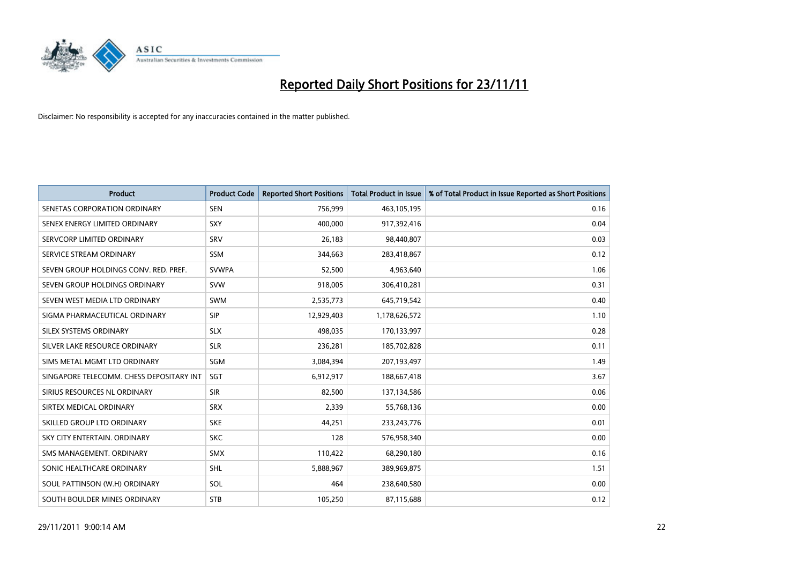

| <b>Product</b>                           | <b>Product Code</b> | <b>Reported Short Positions</b> | <b>Total Product in Issue</b> | % of Total Product in Issue Reported as Short Positions |
|------------------------------------------|---------------------|---------------------------------|-------------------------------|---------------------------------------------------------|
| SENETAS CORPORATION ORDINARY             | <b>SEN</b>          | 756,999                         | 463,105,195                   | 0.16                                                    |
| SENEX ENERGY LIMITED ORDINARY            | SXY                 | 400.000                         | 917,392,416                   | 0.04                                                    |
| SERVCORP LIMITED ORDINARY                | SRV                 | 26,183                          | 98,440,807                    | 0.03                                                    |
| SERVICE STREAM ORDINARY                  | <b>SSM</b>          | 344,663                         | 283,418,867                   | 0.12                                                    |
| SEVEN GROUP HOLDINGS CONV. RED. PREF.    | <b>SVWPA</b>        | 52,500                          | 4,963,640                     | 1.06                                                    |
| SEVEN GROUP HOLDINGS ORDINARY            | <b>SVW</b>          | 918,005                         | 306,410,281                   | 0.31                                                    |
| SEVEN WEST MEDIA LTD ORDINARY            | <b>SWM</b>          | 2,535,773                       | 645,719,542                   | 0.40                                                    |
| SIGMA PHARMACEUTICAL ORDINARY            | <b>SIP</b>          | 12,929,403                      | 1,178,626,572                 | 1.10                                                    |
| SILEX SYSTEMS ORDINARY                   | <b>SLX</b>          | 498,035                         | 170,133,997                   | 0.28                                                    |
| SILVER LAKE RESOURCE ORDINARY            | <b>SLR</b>          | 236,281                         | 185,702,828                   | 0.11                                                    |
| SIMS METAL MGMT LTD ORDINARY             | <b>SGM</b>          | 3,084,394                       | 207,193,497                   | 1.49                                                    |
| SINGAPORE TELECOMM. CHESS DEPOSITARY INT | SGT                 | 6,912,917                       | 188,667,418                   | 3.67                                                    |
| SIRIUS RESOURCES NL ORDINARY             | <b>SIR</b>          | 82,500                          | 137,134,586                   | 0.06                                                    |
| SIRTEX MEDICAL ORDINARY                  | <b>SRX</b>          | 2,339                           | 55,768,136                    | 0.00                                                    |
| SKILLED GROUP LTD ORDINARY               | <b>SKE</b>          | 44,251                          | 233, 243, 776                 | 0.01                                                    |
| SKY CITY ENTERTAIN, ORDINARY             | <b>SKC</b>          | 128                             | 576,958,340                   | 0.00                                                    |
| SMS MANAGEMENT, ORDINARY                 | <b>SMX</b>          | 110,422                         | 68,290,180                    | 0.16                                                    |
| SONIC HEALTHCARE ORDINARY                | <b>SHL</b>          | 5,888,967                       | 389,969,875                   | 1.51                                                    |
| SOUL PATTINSON (W.H) ORDINARY            | SOL                 | 464                             | 238,640,580                   | 0.00                                                    |
| SOUTH BOULDER MINES ORDINARY             | <b>STB</b>          | 105,250                         | 87,115,688                    | 0.12                                                    |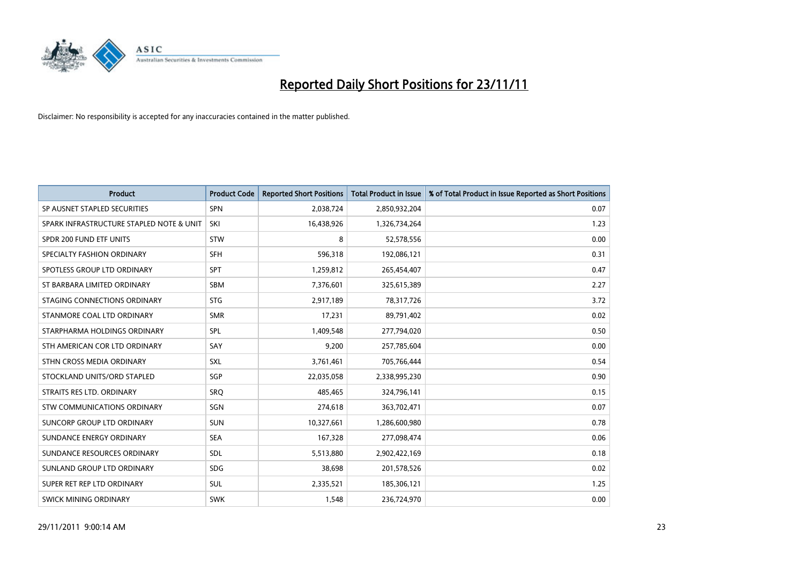

| <b>Product</b>                           | <b>Product Code</b> | <b>Reported Short Positions</b> | <b>Total Product in Issue</b> | % of Total Product in Issue Reported as Short Positions |
|------------------------------------------|---------------------|---------------------------------|-------------------------------|---------------------------------------------------------|
| SP AUSNET STAPLED SECURITIES             | SPN                 | 2,038,724                       | 2,850,932,204                 | 0.07                                                    |
| SPARK INFRASTRUCTURE STAPLED NOTE & UNIT | SKI                 | 16,438,926                      | 1,326,734,264                 | 1.23                                                    |
| SPDR 200 FUND ETF UNITS                  | <b>STW</b>          | 8                               | 52,578,556                    | 0.00                                                    |
| SPECIALTY FASHION ORDINARY               | <b>SFH</b>          | 596,318                         | 192,086,121                   | 0.31                                                    |
| SPOTLESS GROUP LTD ORDINARY              | SPT                 | 1,259,812                       | 265,454,407                   | 0.47                                                    |
| ST BARBARA LIMITED ORDINARY              | <b>SBM</b>          | 7,376,601                       | 325,615,389                   | 2.27                                                    |
| STAGING CONNECTIONS ORDINARY             | <b>STG</b>          | 2,917,189                       | 78,317,726                    | 3.72                                                    |
| STANMORE COAL LTD ORDINARY               | <b>SMR</b>          | 17,231                          | 89,791,402                    | 0.02                                                    |
| STARPHARMA HOLDINGS ORDINARY             | <b>SPL</b>          | 1,409,548                       | 277,794,020                   | 0.50                                                    |
| STH AMERICAN COR LTD ORDINARY            | SAY                 | 9.200                           | 257,785,604                   | 0.00                                                    |
| STHN CROSS MEDIA ORDINARY                | <b>SXL</b>          | 3,761,461                       | 705,766,444                   | 0.54                                                    |
| STOCKLAND UNITS/ORD STAPLED              | SGP                 | 22,035,058                      | 2,338,995,230                 | 0.90                                                    |
| STRAITS RES LTD. ORDINARY                | SRO                 | 485.465                         | 324,796,141                   | 0.15                                                    |
| STW COMMUNICATIONS ORDINARY              | SGN                 | 274,618                         | 363,702,471                   | 0.07                                                    |
| SUNCORP GROUP LTD ORDINARY               | <b>SUN</b>          | 10,327,661                      | 1,286,600,980                 | 0.78                                                    |
| SUNDANCE ENERGY ORDINARY                 | <b>SEA</b>          | 167,328                         | 277,098,474                   | 0.06                                                    |
| SUNDANCE RESOURCES ORDINARY              | <b>SDL</b>          | 5,513,880                       | 2,902,422,169                 | 0.18                                                    |
| SUNLAND GROUP LTD ORDINARY               | <b>SDG</b>          | 38,698                          | 201,578,526                   | 0.02                                                    |
| SUPER RET REP LTD ORDINARY               | <b>SUL</b>          | 2,335,521                       | 185,306,121                   | 1.25                                                    |
| SWICK MINING ORDINARY                    | <b>SWK</b>          | 1.548                           | 236,724,970                   | 0.00                                                    |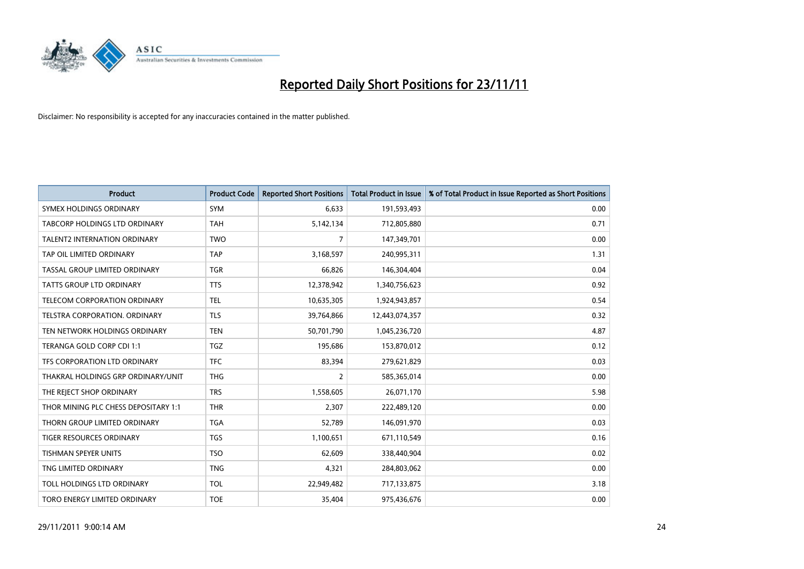

| <b>Product</b>                       | <b>Product Code</b> | <b>Reported Short Positions</b> | <b>Total Product in Issue</b> | % of Total Product in Issue Reported as Short Positions |
|--------------------------------------|---------------------|---------------------------------|-------------------------------|---------------------------------------------------------|
| SYMEX HOLDINGS ORDINARY              | <b>SYM</b>          | 6,633                           | 191,593,493                   | 0.00                                                    |
| <b>TABCORP HOLDINGS LTD ORDINARY</b> | <b>TAH</b>          | 5,142,134                       | 712,805,880                   | 0.71                                                    |
| <b>TALENT2 INTERNATION ORDINARY</b>  | <b>TWO</b>          | $\overline{7}$                  | 147,349,701                   | 0.00                                                    |
| TAP OIL LIMITED ORDINARY             | <b>TAP</b>          | 3,168,597                       | 240,995,311                   | 1.31                                                    |
| TASSAL GROUP LIMITED ORDINARY        | <b>TGR</b>          | 66,826                          | 146,304,404                   | 0.04                                                    |
| <b>TATTS GROUP LTD ORDINARY</b>      | <b>TTS</b>          | 12,378,942                      | 1,340,756,623                 | 0.92                                                    |
| TELECOM CORPORATION ORDINARY         | <b>TEL</b>          | 10,635,305                      | 1,924,943,857                 | 0.54                                                    |
| TELSTRA CORPORATION, ORDINARY        | <b>TLS</b>          | 39,764,866                      | 12,443,074,357                | 0.32                                                    |
| TEN NETWORK HOLDINGS ORDINARY        | <b>TEN</b>          | 50,701,790                      | 1,045,236,720                 | 4.87                                                    |
| TERANGA GOLD CORP CDI 1:1            | <b>TGZ</b>          | 195,686                         | 153,870,012                   | 0.12                                                    |
| TFS CORPORATION LTD ORDINARY         | <b>TFC</b>          | 83,394                          | 279,621,829                   | 0.03                                                    |
| THAKRAL HOLDINGS GRP ORDINARY/UNIT   | <b>THG</b>          | $\overline{2}$                  | 585,365,014                   | 0.00                                                    |
| THE REJECT SHOP ORDINARY             | <b>TRS</b>          | 1,558,605                       | 26,071,170                    | 5.98                                                    |
| THOR MINING PLC CHESS DEPOSITARY 1:1 | <b>THR</b>          | 2,307                           | 222,489,120                   | 0.00                                                    |
| THORN GROUP LIMITED ORDINARY         | <b>TGA</b>          | 52,789                          | 146,091,970                   | 0.03                                                    |
| <b>TIGER RESOURCES ORDINARY</b>      | <b>TGS</b>          | 1,100,651                       | 671,110,549                   | 0.16                                                    |
| TISHMAN SPEYER UNITS                 | <b>TSO</b>          | 62,609                          | 338,440,904                   | 0.02                                                    |
| TNG LIMITED ORDINARY                 | <b>TNG</b>          | 4,321                           | 284,803,062                   | 0.00                                                    |
| TOLL HOLDINGS LTD ORDINARY           | <b>TOL</b>          | 22,949,482                      | 717,133,875                   | 3.18                                                    |
| TORO ENERGY LIMITED ORDINARY         | <b>TOE</b>          | 35,404                          | 975,436,676                   | 0.00                                                    |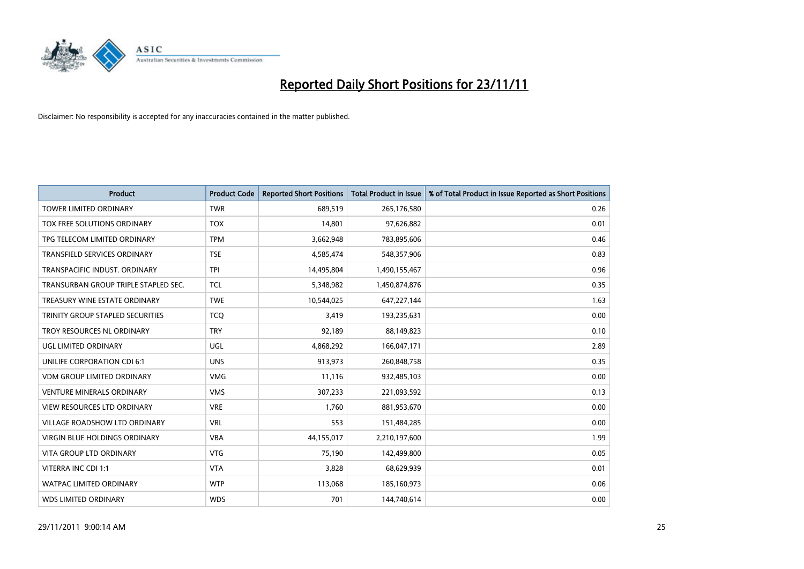

| <b>Product</b>                       | <b>Product Code</b> | <b>Reported Short Positions</b> | <b>Total Product in Issue</b> | % of Total Product in Issue Reported as Short Positions |
|--------------------------------------|---------------------|---------------------------------|-------------------------------|---------------------------------------------------------|
| <b>TOWER LIMITED ORDINARY</b>        | <b>TWR</b>          | 689,519                         | 265,176,580                   | 0.26                                                    |
| TOX FREE SOLUTIONS ORDINARY          | <b>TOX</b>          | 14,801                          | 97,626,882                    | 0.01                                                    |
| TPG TELECOM LIMITED ORDINARY         | <b>TPM</b>          | 3,662,948                       | 783,895,606                   | 0.46                                                    |
| TRANSFIELD SERVICES ORDINARY         | <b>TSE</b>          | 4,585,474                       | 548,357,906                   | 0.83                                                    |
| TRANSPACIFIC INDUST, ORDINARY        | <b>TPI</b>          | 14,495,804                      | 1,490,155,467                 | 0.96                                                    |
| TRANSURBAN GROUP TRIPLE STAPLED SEC. | <b>TCL</b>          | 5,348,982                       | 1,450,874,876                 | 0.35                                                    |
| TREASURY WINE ESTATE ORDINARY        | <b>TWE</b>          | 10,544,025                      | 647,227,144                   | 1.63                                                    |
| TRINITY GROUP STAPLED SECURITIES     | <b>TCO</b>          | 3,419                           | 193,235,631                   | 0.00                                                    |
| <b>TROY RESOURCES NL ORDINARY</b>    | <b>TRY</b>          | 92,189                          | 88,149,823                    | 0.10                                                    |
| UGL LIMITED ORDINARY                 | UGL                 | 4,868,292                       | 166,047,171                   | 2.89                                                    |
| UNILIFE CORPORATION CDI 6:1          | <b>UNS</b>          | 913,973                         | 260,848,758                   | 0.35                                                    |
| <b>VDM GROUP LIMITED ORDINARY</b>    | <b>VMG</b>          | 11,116                          | 932,485,103                   | 0.00                                                    |
| <b>VENTURE MINERALS ORDINARY</b>     | <b>VMS</b>          | 307,233                         | 221,093,592                   | 0.13                                                    |
| <b>VIEW RESOURCES LTD ORDINARY</b>   | <b>VRE</b>          | 1,760                           | 881,953,670                   | 0.00                                                    |
| <b>VILLAGE ROADSHOW LTD ORDINARY</b> | <b>VRL</b>          | 553                             | 151,484,285                   | 0.00                                                    |
| <b>VIRGIN BLUE HOLDINGS ORDINARY</b> | <b>VBA</b>          | 44,155,017                      | 2,210,197,600                 | 1.99                                                    |
| VITA GROUP LTD ORDINARY              | <b>VTG</b>          | 75,190                          | 142,499,800                   | 0.05                                                    |
| VITERRA INC CDI 1:1                  | <b>VTA</b>          | 3,828                           | 68,629,939                    | 0.01                                                    |
| <b>WATPAC LIMITED ORDINARY</b>       | <b>WTP</b>          | 113,068                         | 185,160,973                   | 0.06                                                    |
| <b>WDS LIMITED ORDINARY</b>          | <b>WDS</b>          | 701                             | 144,740,614                   | 0.00                                                    |